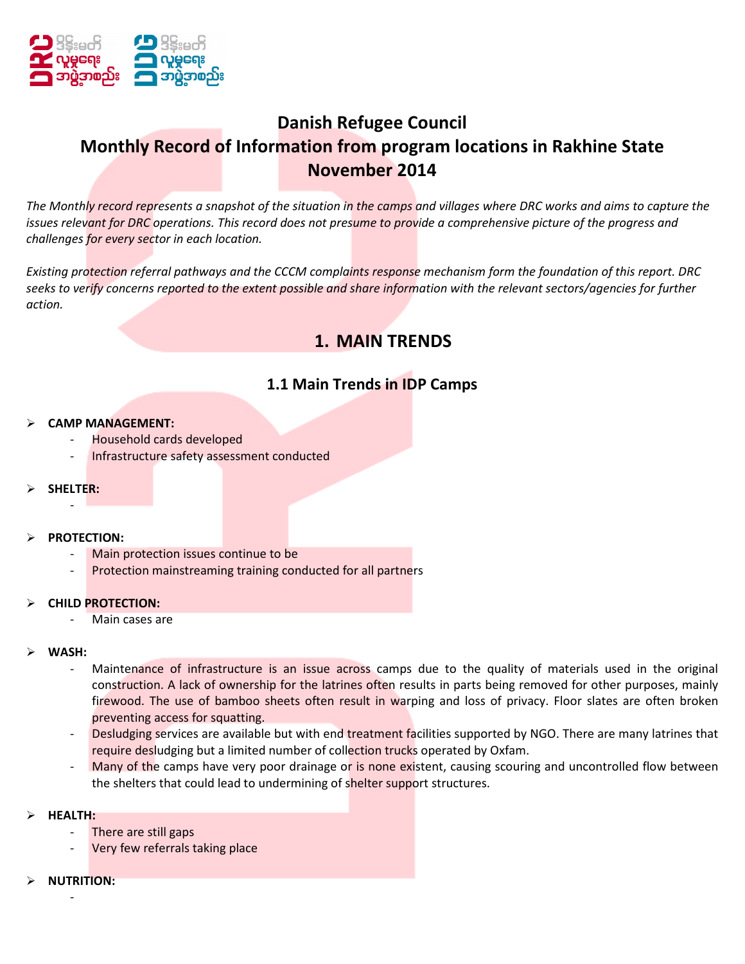

# Danish Refugee Council Monthly Record of Information from program locations in Rakhine State November 2014

The Monthly record represents a snapshot of the situation in the camps and villages where DRC works and aims to capture the issues relevant for DRC operations. This record does not presume to provide a comprehensive picture of the progress and challenges for every sector in each location.

Existing protection referral pathways and the CCCM complaints response mechanism form the foundation of this report. DRC seeks to verify concerns reported to the extent possible and share information with the relevant sectors/agencies for further action.

# 1. MAIN TRENDS

# 1.1 Main Trends in IDP Camps

#### CAMP MANAGEMENT:

- Household cards developed
- Infrastructure safety assessment conducted

### SHELTER: -

#### $\triangleright$  PROTECTION:

- Main protection issues continue to be
- Protection mainstreaming training conducted for all partners

#### CHILD PROTECTION:

Main cases are

#### WASH:

- Maintenance of infrastructure is an issue across camps due to the quality of materials used in the original construction. A lack of ownership for the latrines often results in parts being removed for other purposes, mainly firewood. The use of bamboo sheets often result in warping and loss of privacy. Floor slates are often broken preventing access for squatting.
- Desludging services are available but with end treatment facilities supported by NGO. There are many latrines that require desludging but a limited number of collection trucks operated by Oxfam.
- Many of the camps have very poor drainage or is none existent, causing scouring and uncontrolled flow between the shelters that could lead to undermining of shelter support structures.
- HEALTH:
	- There are still gaps
	- Very few referrals taking place
- NUTRITION: -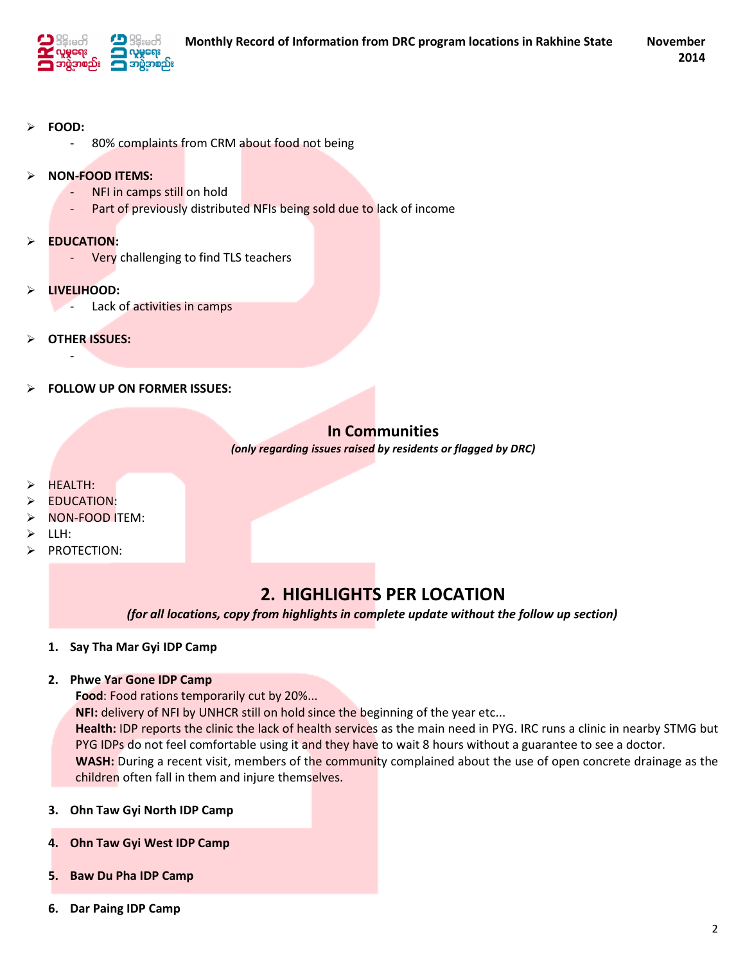

- FOOD:
	- 80% complaints from CRM about food not being
- > NON-FOOD ITEMS:
	- NFI in camps still on hold
	- Part of previously distributed NFIs being sold due to lack of income
- $\triangleright$  EDUCATION:
	- Very challenging to find TLS teachers
- LIVELIHOOD:
	- Lack of activities in camps
- OTHER ISSUES:

-

FOLLOW UP ON FORMER ISSUES:

# In Communities

(only regarding issues raised by residents or flagged by DRC)

- HEALTH:
- EDUCATION:
- NON-FOOD ITEM:
- $\triangleright$  LLH:
- > PROTECTION:

# 2. HIGHLIGHTS PER LOCATION

(for all locations, copy from highlights in complete update without the follow up section)

1. Say Tha Mar Gyi IDP Camp

#### 2. Phwe Yar Gone IDP Camp

Food: Food rations temporarily cut by 20%...

NFI: delivery of NFI by UNHCR still on hold since the beginning of the year etc...

Health: IDP reports the clinic the lack of health services as the main need in PYG. IRC runs a clinic in nearby STMG but PYG IDPs do not feel comfortable using it and they have to wait 8 hours without a guarantee to see a doctor. WASH: During a recent visit, members of the community complained about the use of open concrete drainage as the children often fall in them and injure themselves.

- 3. Ohn Taw Gyi North IDP Camp
- 4. Ohn Taw Gyi West IDP Camp
- 5. Baw Du Pha IDP Camp
- 6. Dar Paing IDP Camp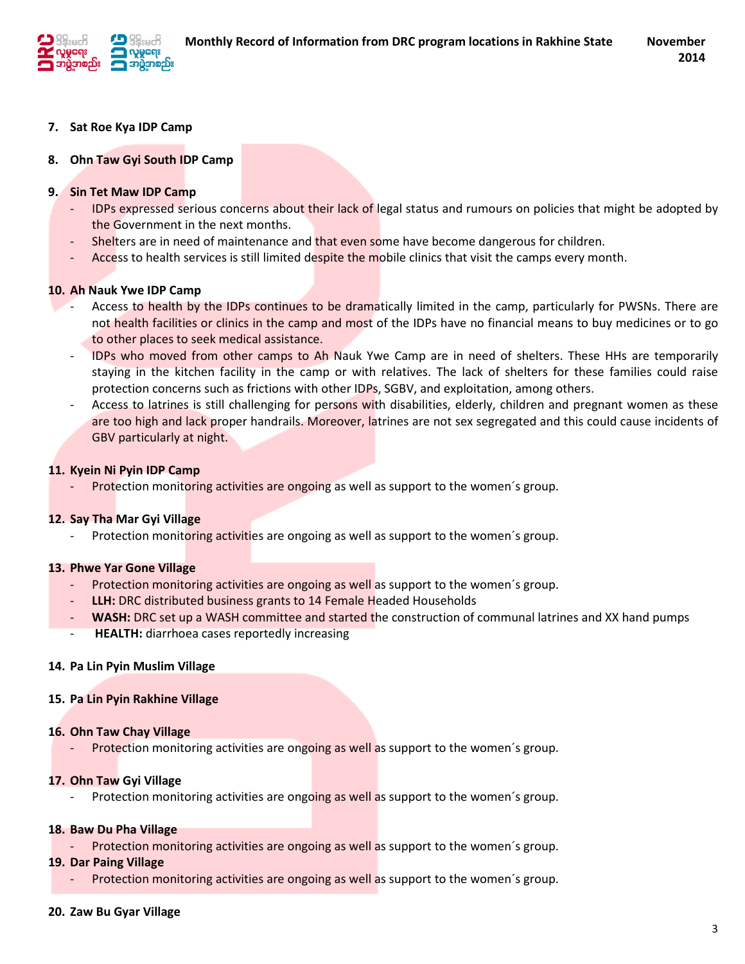

### 7. Sat Roe Kya IDP Camp

### 8. Ohn Taw Gyi South IDP Camp

### 9. Sin Tet Maw IDP Camp

- IDPs expressed serious concerns about their lack of legal status and rumours on policies that might be adopted by the Government in the next months.
- Shelters are in need of maintenance and that even some have become dangerous for children.
- Access to health services is still limited despite the mobile clinics that visit the camps every month.

### 10. Ah Nauk Ywe IDP Camp

- Access to health by the IDPs continues to be dramatically limited in the camp, particularly for PWSNs. There are not health facilities or clinics in the camp and most of the IDPs have no financial means to buy medicines or to go to other places to seek medical assistance.
- IDPs who moved from other camps to Ah Nauk Ywe Camp are in need of shelters. These HHs are temporarily staying in the kitchen facility in the camp or with relatives. The lack of shelters for these families could raise protection concerns such as frictions with other IDPs, SGBV, and exploitation, among others.
- Access to latrines is still challenging for persons with disabilities, elderly, children and pregnant women as these are too high and lack proper handrails. Moreover, latrines are not sex segregated and this could cause incidents of GBV particularly at night.

### 11. Kyein Ni Pyin IDP Camp

Protection monitoring activities are ongoing as well as support to the women's group.

### 12. Say Tha Mar Gyi Village

Protection monitoring activities are ongoing as well as support to the women's group.

### 13. Phwe Yar Gone Village

- Protection monitoring activities are ongoing as well as support to the women´s group.
- LLH: DRC distributed business grants to 14 Female Headed Households
- WASH: DRC set up a WASH committee and started the construction of communal latrines and XX hand pumps
- HEALTH: diarrhoea cases reportedly increasing

### 14. Pa Lin Pyin Muslim Village

### 15. Pa Lin Pyin Rakhine Village

### 16. Ohn Taw Chay Village

Protection monitoring activities are ongoing as well as support to the women's group.

### 17. Ohn Taw Gyi Village

Protection monitoring activities are ongoing as well as support to the women's group.

### 18. Baw Du Pha Village

Protection monitoring activities are ongoing as well as support to the women's group.

### 19. Dar Paing Village

Protection monitoring activities are ongoing as well as support to the women's group.

### 20. Zaw Bu Gyar Village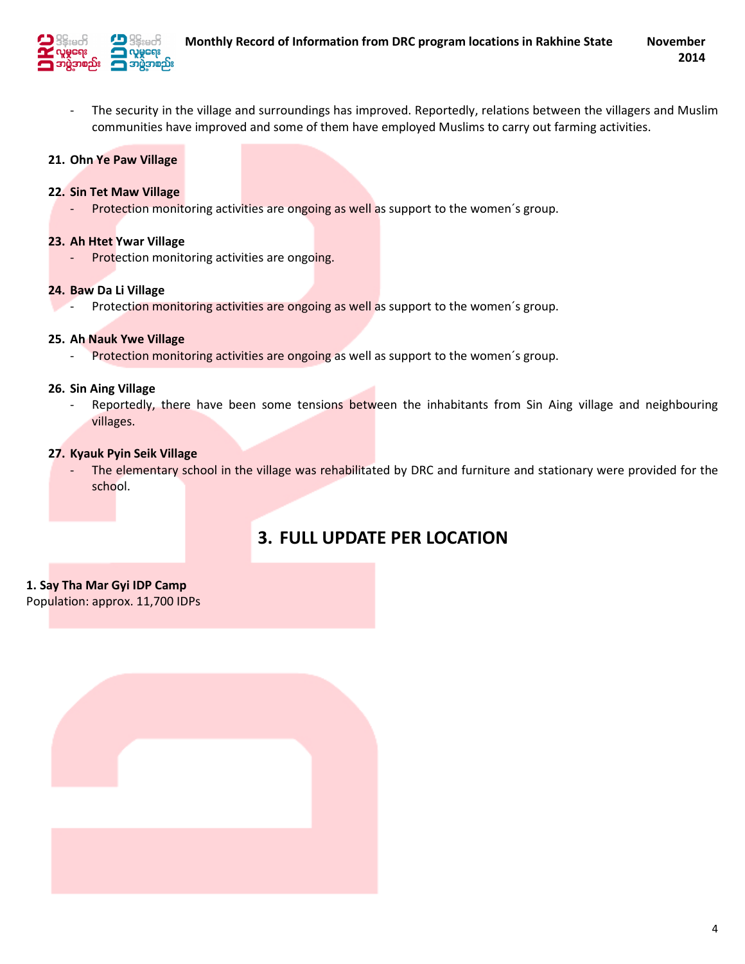

- The security in the village and surroundings has improved. Reportedly, relations between the villagers and Muslim communities have improved and some of them have employed Muslims to carry out farming activities.

### 21. Ohn Ye Paw Village

#### 22. Sin Tet Maw Village

- Protection monitoring activities are ongoing as well as support to the women´s group.

#### 23. Ah Htet Ywar Village

- Protection monitoring activities are ongoing.

#### 24. Baw Da Li Village

Protection monitoring activities are ongoing as well as support to the women's group.

#### 25. Ah Nauk Ywe Village

- Protection monitoring activities are ongoing as well as support to the women's group.

#### 26. Sin Aing Village

Reportedly, there have been some tensions between the inhabitants from Sin Aing village and neighbouring villages.

#### 27. Kyauk Pyin Seik Village

The elementary school in the village was rehabilitated by DRC and furniture and stationary were provided for the school.

# 3. FULL UPDATE PER LOCATION

### 1. Say Tha Mar Gyi IDP Camp

Population: approx. 11,700 IDPs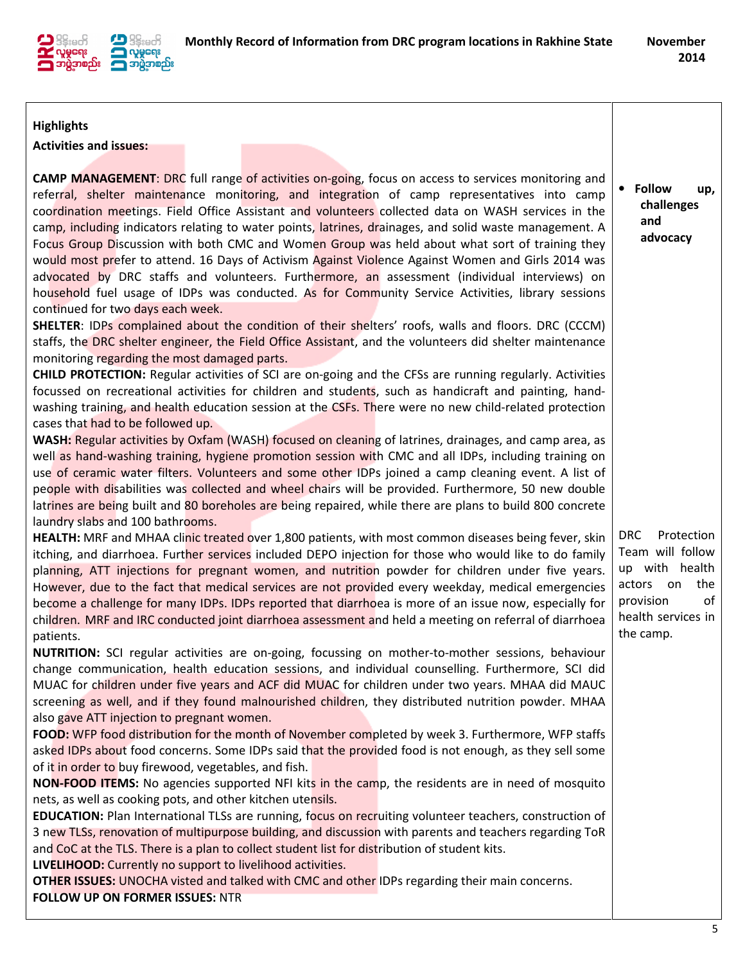

• Follow up, challenges and advocacy

### **Highlights**

Activities and issues:

CAMP MANAGEMENT: DRC full range of activities on-going, focus on access to services monitoring and referral, shelter maintenance monitoring, and integration of camp representatives into camp coordination meetings. Field Office Assistant and volunteers collected data on WASH services in the camp, including indicators relating to water points, latrines, drainages, and solid waste management. A Focus Group Discussion with both CMC and Women Group was held about what sort of training they would most prefer to attend. 16 Days of Activism Against Violence Against Women and Girls 2014 was advocated by DRC staffs and volunteers. Furthermore, an assessment (individual interviews) on household fuel usage of IDPs was conducted. As for Community Service Activities, library sessions continued for two days each week.

SHELTER: IDPs complained about the condition of their shelters' roofs, walls and floors. DRC (CCCM) staffs, the DRC shelter engineer, the Field Office Assistant, and the volunteers did shelter maintenance monitoring regarding the most damaged parts.

CHILD PROTECTION: Regular activities of SCI are on-going and the CFSs are running regularly. Activities focussed on recreational activities for children and students, such as handicraft and painting, handwashing training, and health education session at the CSFs. There were no new child-related protection cases that had to be followed up.

WASH: Regular activities by Oxfam (WASH) focused on cleaning of latrines, drainages, and camp area, as well as hand-washing training, hygiene promotion session with CMC and all IDPs, including training on use of ceramic water filters. Volunteers and some other IDPs joined a camp cleaning event. A list of people with disabilities was collected and wheel chairs will be provided. Furthermore, 50 new double latrines are being built and 80 boreholes are being repaired, while there are plans to build 800 concrete laundry slabs and 100 bathrooms.

HEALTH: MRF and MHAA clinic treated over 1,800 patients, with most common diseases being fever, skin itching, and diarrhoea. Further services included DEPO injection for those who would like to do family planning, ATT injections for pregnant women, and nutrition powder for children under five years. However, due to the fact that medical services are not provided every weekday, medical emergencies become a challenge for many IDPs. IDPs reported that diarrhoea is more of an issue now, especially for children. MRF and IRC conducted joint diarrhoea assessment and held a meeting on referral of diarrhoea patients.

NUTRITION: SCI regular activities are on-going, focussing on mother-to-mother sessions, behaviour change communication, health education sessions, and individual counselling. Furthermore, SCI did MUAC for children under five years and ACF did MUAC for children under two years. MHAA did MAUC screening as well, and if they found malnourished children, they distributed nutrition powder. MHAA also gave ATT injection to pregnant women.

FOOD: WFP food distribution for the month of November completed by week 3. Furthermore, WFP staffs asked IDPs about food concerns. Some IDPs said that the provided food is not enough, as they sell some of it in order to buy firewood, vegetables, and fish.

NON-FOOD ITEMS: No agencies supported NFI kits in the camp, the residents are in need of mosquito nets, as well as cooking pots, and other kitchen utensils.

EDUCATION: Plan International TLSs are running, focus on recruiting volunteer teachers, construction of 3 new TLSs, renovation of multipurpose building, and discussion with parents and teachers regarding ToR and CoC at the TLS. There is a plan to collect student list for distribution of student kits.

LIVELIHOOD: Currently no support to livelihood activities.

**OTHER ISSUES:** UNOCHA visted and talked with CMC and other IDPs regarding their main concerns. FOLLOW UP ON FORMER ISSUES: NTR

DRC Protection Team will follow up with health actors on the provision of health services in the camp.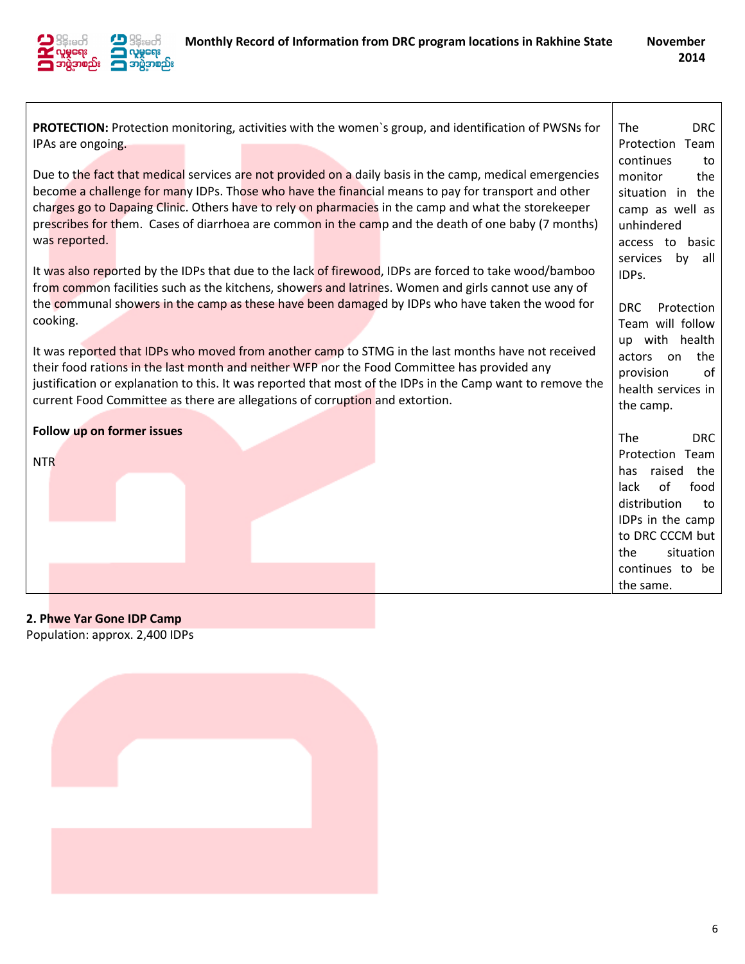

PROTECTION: Protection monitoring, activities with the women`s group, and identification of PWSNs for IPAs are ongoing. Due to the fact that medical services are not provided on a daily basis in the camp, medical emergencies become a challenge for many IDPs. Those who have the financial means to pay for transport and other charges go to Dapaing Clinic. Others have to rely on pharmacies in the camp and what the storekeeper prescribes for them. Cases of diarrhoea are common in the camp and the death of one baby (7 months) was reported. It was also reported by the IDPs that due to the lack of firewood, IDPs are forced to take wood/bamboo from common facilities such as the kitchens, showers and latrines. Women and girls cannot use any of the communal showers in the camp as these have been damaged by IDPs who have taken the wood for cooking. It was reported that IDPs who moved from another camp to STMG in the last months have not received their food rations in the last month and neither WFP nor the Food Committee has provided any justification or explanation to this. It was reported that most of the IDPs in the Camp want to remove the current Food Committee as there are allegations of corruption and extortion. Follow up on former issues NTR The DRC Protection Team continues to monitor the situation in the camp as well as unhindered access to basic services by all IDPs. DRC Protection Team will follow up with health actors on the provision of health services in the camp. The DRC Protection Team has raised the lack of food distribution to IDPs in the camp to DRC CCCM but the situation continues to be the same.

### 2. Phwe Yar Gone IDP Camp

Population: approx. 2,400 IDPs

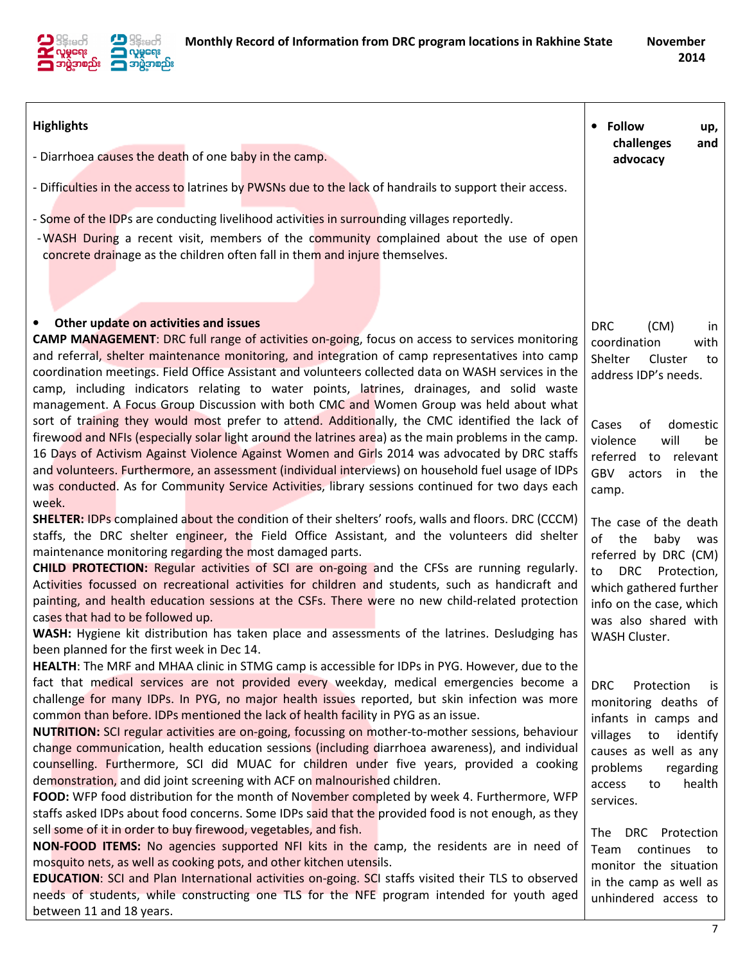

| <b>Highlights</b>                                                                                                                                                                                                                                                                                                                                                                                                                                                                                                                                                                                                                                                                                                                                                                                                                                                                                                                                                                                                                                                                                                                                                                                                                                                                                                                                                                                                                                     | <b>Follow</b><br>$\bullet$<br>up,                                                                                                                                                                                                                                                                                                           |
|-------------------------------------------------------------------------------------------------------------------------------------------------------------------------------------------------------------------------------------------------------------------------------------------------------------------------------------------------------------------------------------------------------------------------------------------------------------------------------------------------------------------------------------------------------------------------------------------------------------------------------------------------------------------------------------------------------------------------------------------------------------------------------------------------------------------------------------------------------------------------------------------------------------------------------------------------------------------------------------------------------------------------------------------------------------------------------------------------------------------------------------------------------------------------------------------------------------------------------------------------------------------------------------------------------------------------------------------------------------------------------------------------------------------------------------------------------|---------------------------------------------------------------------------------------------------------------------------------------------------------------------------------------------------------------------------------------------------------------------------------------------------------------------------------------------|
| - Diarrhoea causes the death of one baby in the camp.                                                                                                                                                                                                                                                                                                                                                                                                                                                                                                                                                                                                                                                                                                                                                                                                                                                                                                                                                                                                                                                                                                                                                                                                                                                                                                                                                                                                 | challenges<br>and<br>advocacy                                                                                                                                                                                                                                                                                                               |
| - Difficulties in the access to latrines by PWSNs due to the lack of handrails to support their access.                                                                                                                                                                                                                                                                                                                                                                                                                                                                                                                                                                                                                                                                                                                                                                                                                                                                                                                                                                                                                                                                                                                                                                                                                                                                                                                                               |                                                                                                                                                                                                                                                                                                                                             |
| - Some of the IDPs are conducting livelihood activities in surrounding villages reportedly.<br>-WASH During a recent visit, members of the community complained about the use of open<br>concrete drainage as the children often fall in them and injure themselves.                                                                                                                                                                                                                                                                                                                                                                                                                                                                                                                                                                                                                                                                                                                                                                                                                                                                                                                                                                                                                                                                                                                                                                                  |                                                                                                                                                                                                                                                                                                                                             |
| Other update on activities and issues<br>$\bullet$<br><b>CAMP MANAGEMENT:</b> DRC full range of activities on-going, focus on access to services monitoring<br>and referral, shelter maintenance monitoring, and integration of camp representatives into camp<br>coordination meetings. Field Office Assistant and volunteers collected data on WASH services in the<br>camp, including indicators relating to water points, latrines, drainages, and solid waste<br>management. A Focus Group Discussion with both CMC and Women Group was held about what                                                                                                                                                                                                                                                                                                                                                                                                                                                                                                                                                                                                                                                                                                                                                                                                                                                                                          | <b>DRC</b><br>(CM)<br><i>in</i><br>coordination<br>with<br>Shelter<br>Cluster<br>to<br>address IDP's needs.                                                                                                                                                                                                                                 |
| sort of training they would most prefer to attend. Additionally, the CMC identified the lack of<br>firewood and NFIs (especially solar light around the latrines area) as the main problems in the camp.<br>16 Days of Activism Against Violence Against Women and Girls 2014 was advocated by DRC staffs<br>and volunteers. Furthermore, an assessment (individual interviews) on household fuel usage of IDPs<br>was conducted. As for Community Service Activities, library sessions continued for two days each<br>week.                                                                                                                                                                                                                                                                                                                                                                                                                                                                                                                                                                                                                                                                                                                                                                                                                                                                                                                          | Cases<br>of<br>domestic<br>violence<br>will<br>be<br>referred to relevant<br>GBV actors<br>in the<br>camp.                                                                                                                                                                                                                                  |
| SHELTER: IDPs complained about the condition of their shelters' roofs, walls and floors. DRC (CCCM)<br>staffs, the DRC shelter engineer, the Field Office Assistant, and the volunteers did shelter<br>maintenance monitoring regarding the most damaged parts.<br>CHILD PROTECTION: Regular activities of SCI are on-going and the CFSs are running regularly.<br>Activities focussed on recreational activities for children and students, such as handicraft and<br>painting, and health education sessions at the CSFs. There were no new child-related protection<br>cases that had to be followed up.<br>WASH: Hygiene kit distribution has taken place and assessments of the latrines. Desludging has<br>been planned for the first week in Dec 14.                                                                                                                                                                                                                                                                                                                                                                                                                                                                                                                                                                                                                                                                                           | The case of the death<br>of<br>the<br>baby<br>was<br>referred by DRC (CM)<br>DRC Protection,<br>to<br>which gathered further<br>info on the case, which<br>was also shared with<br>WASH Cluster.                                                                                                                                            |
| <b>HEALTH:</b> The MRF and MHAA clinic in STMG camp is accessible for IDPs in PYG. However, due to the<br>fact that medical services are not provided every weekday, medical emergencies become a<br>challenge for many IDPs. In PYG, no major health issues reported, but skin infection was more<br>common than before. IDPs mentioned the lack of health facility in PYG as an issue.<br>NUTRITION: SCI regular activities are on-going, focussing on mother-to-mother sessions, behaviour<br>change communication, health education sessions (including diarrhoea awareness), and individual<br>counselling. Furthermore, SCI did MUAC for children under five years, provided a cooking<br>demonstration, and did joint screening with ACF on malnourished children.<br>FOOD: WFP food distribution for the month of November completed by week 4. Furthermore, WFP<br>staffs asked IDPs about food concerns. Some IDPs said that the provided food is not enough, as they<br>sell some of it in order to buy firewood, vegetables, and fish.<br>NON-FOOD ITEMS: No agencies supported NFI kits in the camp, the residents are in need of<br>mosquito nets, as well as cooking pots, and other kitchen utensils.<br>EDUCATION: SCI and Plan International activities on-going. SCI staffs visited their TLS to observed<br>needs of students, while constructing one TLS for the NFE program intended for youth aged<br>between 11 and 18 years. | <b>DRC</b><br>Protection<br><b>is</b><br>monitoring deaths of<br>infants in camps and<br>villages<br>to<br>identify<br>causes as well as any<br>problems<br>regarding<br>health<br>access<br>to<br>services.<br>DRC Protection<br>The<br>continues<br>Team<br>to<br>monitor the situation<br>in the camp as well as<br>unhindered access to |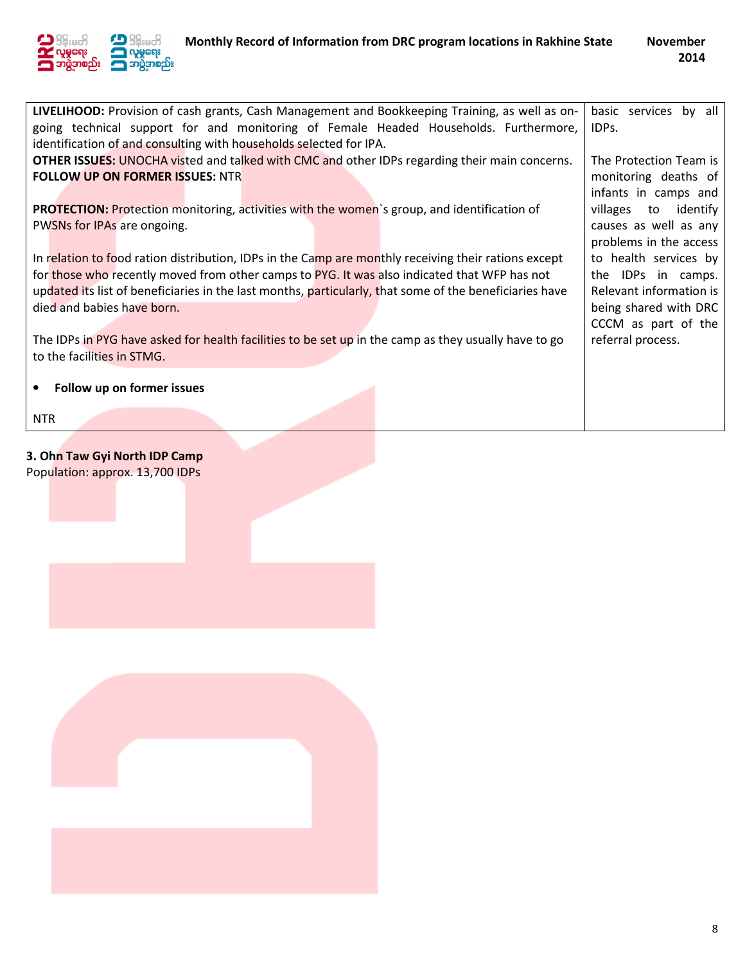

| LIVELIHOOD: Provision of cash grants, Cash Management and Bookkeeping Training, as well as on-          | basic services by all   |
|---------------------------------------------------------------------------------------------------------|-------------------------|
| going technical support for and monitoring of Female Headed Households. Furthermore,                    | IDPs.                   |
| identification of and consulting with households selected for IPA.                                      |                         |
| <b>OTHER ISSUES:</b> UNOCHA visted and talked with CMC and other IDPs regarding their main concerns.    | The Protection Team is  |
|                                                                                                         |                         |
| <b>FOLLOW UP ON FORMER ISSUES: NTR</b>                                                                  | monitoring deaths of    |
|                                                                                                         | infants in camps and    |
| <b>PROTECTION:</b> Protection monitoring, activities with the women's group, and identification of      | villages to identify    |
| PWSNs for IPAs are ongoing.                                                                             | causes as well as any   |
|                                                                                                         | problems in the access  |
| In relation to food ration distribution, IDPs in the Camp are monthly receiving their rations except    | to health services by   |
|                                                                                                         | the IDPs in camps.      |
| for those who recently moved from other camps to PYG. It was also indicated that WFP has not            |                         |
| updated its list of beneficiaries in the last months, particularly, that some of the beneficiaries have | Relevant information is |
| died and babies have born.                                                                              | being shared with DRC   |
|                                                                                                         | CCCM as part of the     |
| The IDPs in PYG have asked for health facilities to be set up in the camp as they usually have to go    | referral process.       |
| to the facilities in STMG.                                                                              |                         |
|                                                                                                         |                         |
|                                                                                                         |                         |
| Follow up on former issues                                                                              |                         |
|                                                                                                         |                         |
| <b>NTR</b>                                                                                              |                         |

# 3. Ohn Taw Gyi North IDP Camp

Population: approx. 13,700 IDPs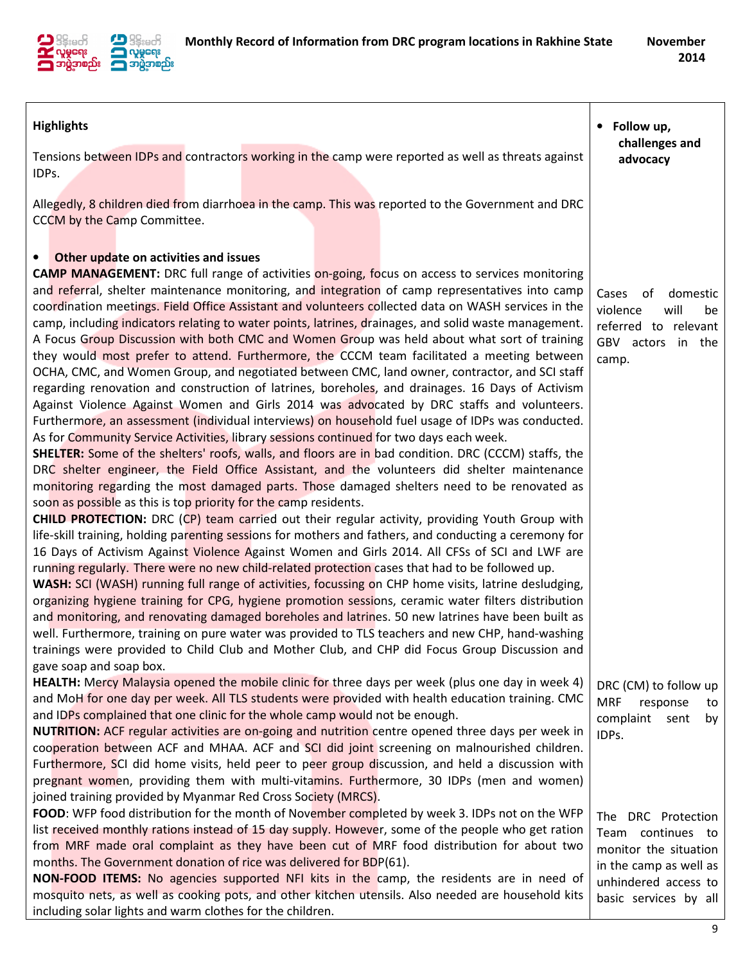

| <b>Highlights</b>                                                                                                                                                                                      | Follow up,<br>$\bullet$<br>challenges and      |
|--------------------------------------------------------------------------------------------------------------------------------------------------------------------------------------------------------|------------------------------------------------|
| Tensions between IDPs and contractors working in the camp were reported as well as threats against<br>IDPs.                                                                                            | advocacy                                       |
| Allegedly, 8 children died from diarrhoea in the camp. This was reported to the Government and DRC<br>CCCM by the Camp Committee.                                                                      |                                                |
|                                                                                                                                                                                                        |                                                |
| Other update on activities and issues<br>$\bullet$<br><b>CAMP MANAGEMENT:</b> DRC full range of activities on-going, focus on access to services monitoring                                            |                                                |
| and referral, shelter maintenance monitoring, and integration of camp representatives into camp                                                                                                        | Cases<br>of<br>domestic                        |
| coordination meetings. Field Office Assistant and volunteers collected data on WASH services in the                                                                                                    | violence<br>will<br>be                         |
| camp, including indicators relating to water points, latrines, drainages, and solid waste management.                                                                                                  | referred to relevant                           |
| A Focus Group Discussion with both CMC and Women Group was held about what sort of training                                                                                                            | GBV actors in the                              |
| they would most prefer to attend. Furthermore, the CCCM team facilitated a meeting between                                                                                                             | camp.                                          |
| OCHA, CMC, and Women Group, and negotiated between CMC, land owner, contractor, and SCI staff                                                                                                          |                                                |
| regarding renovation and construction of latrines, boreholes, and drainages. 16 Days of Activism                                                                                                       |                                                |
| Against Violence Against Women and Girls 2014 was advocated by DRC staffs and volunteers.                                                                                                              |                                                |
| Furthermore, an assessment (individual interviews) on household fuel usage of IDPs was conducted.                                                                                                      |                                                |
| As for Community Service Activities, library sessions continued for two days each week.<br><b>SHELTER:</b> Some of the shelters' roofs, walls, and floors are in bad condition. DRC (CCCM) staffs, the |                                                |
| DRC shelter engineer, the Field Office Assistant, and the volunteers did shelter maintenance                                                                                                           |                                                |
| monitoring regarding the most damaged parts. Those damaged shelters need to be renovated as                                                                                                            |                                                |
| soon as possible as this is top priority for the camp residents.                                                                                                                                       |                                                |
| CHILD PROTECTION: DRC (CP) team carried out their regular activity, providing Youth Group with                                                                                                         |                                                |
| life-skill training, holding parenting sessions for mothers and fathers, and conducting a ceremony for                                                                                                 |                                                |
| 16 Days of Activism Against Violence Against Women and Girls 2014. All CFSs of SCI and LWF are                                                                                                         |                                                |
| running regularly. There were no new child-related protection cases that had to be followed up.                                                                                                        |                                                |
| WASH: SCI (WASH) running full range of activities, focussing on CHP home visits, latrine desludging,                                                                                                   |                                                |
| organizing hygiene training for CPG, hygiene promotion sessions, ceramic water filters distribution                                                                                                    |                                                |
| and monitoring, and renovating damaged boreholes and latrines. 50 new latrines have been built as                                                                                                      |                                                |
| well. Furthermore, training on pure water was provided to TLS teachers and new CHP, hand-washing<br>trainings were provided to Child Club and Mother Club, and CHP did Focus Group Discussion and      |                                                |
| gave soap and soap box.                                                                                                                                                                                |                                                |
| <b>HEALTH:</b> Mercy Malaysia opened the mobile clinic for three days per week (plus one day in week 4)                                                                                                | DRC (CM) to follow up                          |
| and MoH for one day per week. All TLS students were provided with health education training. CMC                                                                                                       | <b>MRF</b><br>response<br>to                   |
| and IDPs complained that one clinic for the whole camp would not be enough.                                                                                                                            | complaint sent<br>by                           |
| NUTRITION: ACF regular activities are on-going and nutrition centre opened three days per week in                                                                                                      | IDPs.                                          |
| cooperation between ACF and MHAA. ACF and SCI did joint screening on malnourished children.                                                                                                            |                                                |
| Furthermore, SCI did home visits, held peer to peer group discussion, and held a discussion with                                                                                                       |                                                |
| pregnant women, providing them with multi-vitamins. Furthermore, 30 IDPs (men and women)                                                                                                               |                                                |
| joined training provided by Myanmar Red Cross Society (MRCS).                                                                                                                                          |                                                |
| FOOD: WFP food distribution for the month of November completed by week 3. IDPs not on the WFP                                                                                                         | The DRC Protection                             |
| list received monthly rations instead of 15 day supply. However, some of the people who get ration<br>from MRF made oral complaint as they have been cut of MRF food distribution for about two        | Team continues to                              |
| months. The Government donation of rice was delivered for BDP(61).                                                                                                                                     | monitor the situation                          |
| NON-FOOD ITEMS: No agencies supported NFI kits in the camp, the residents are in need of                                                                                                               | in the camp as well as<br>unhindered access to |
| mosquito nets, as well as cooking pots, and other kitchen utensils. Also needed are household kits                                                                                                     | basic services by all                          |
| including solar lights and warm clothes for the children.                                                                                                                                              |                                                |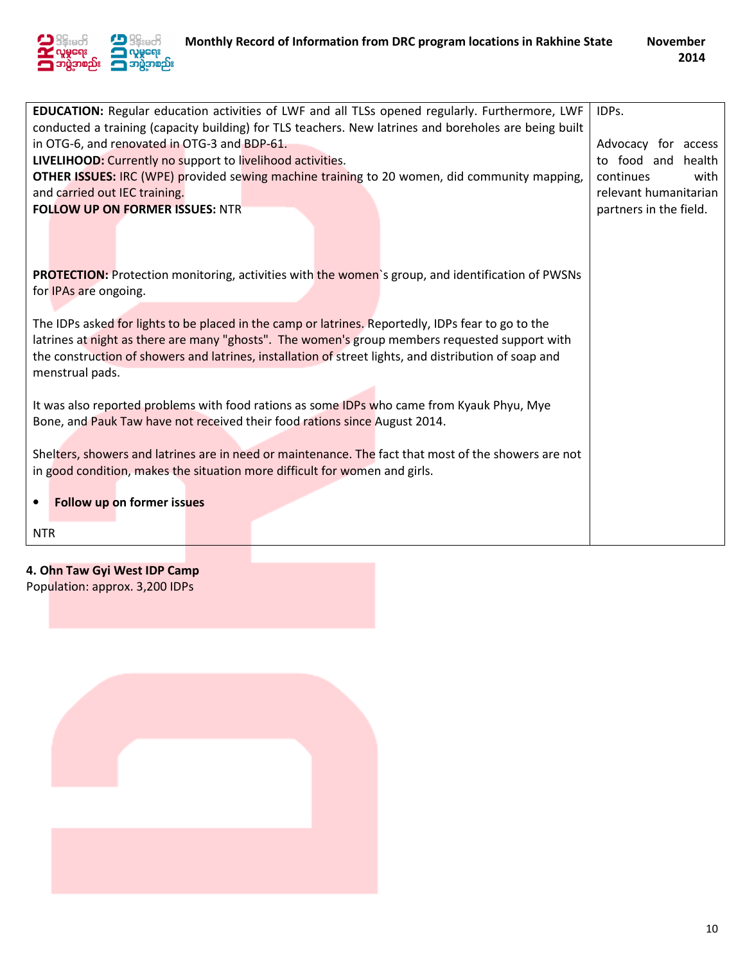

| EDUCATION: Regular education activities of LWF and all TLSs opened regularly. Furthermore, LWF<br>conducted a training (capacity building) for TLS teachers. New latrines and boreholes are being built<br>in OTG-6, and renovated in OTG-3 and BDP-61.<br>LIVELIHOOD: Currently no support to livelihood activities.<br><b>OTHER ISSUES: IRC (WPE) provided sewing machine training to 20 women, did community mapping,</b><br>and carried out IEC training.<br><b>FOLLOW UP ON FORMER ISSUES: NTR</b> | IDPs.<br>Advocacy for access<br>to food and health<br>continues<br>with<br>relevant humanitarian<br>partners in the field. |
|---------------------------------------------------------------------------------------------------------------------------------------------------------------------------------------------------------------------------------------------------------------------------------------------------------------------------------------------------------------------------------------------------------------------------------------------------------------------------------------------------------|----------------------------------------------------------------------------------------------------------------------------|
| <b>PROTECTION:</b> Protection monitoring, activities with the women's group, and identification of PWSNs<br>for IPAs are ongoing.<br>The IDPs asked for lights to be placed in the camp or latrines. Reportedly, IDPs fear to go to the<br>latrines at night as there are many "ghosts". The women's group members requested support with<br>the construction of showers and latrines, installation of street lights, and distribution of soap and<br>menstrual pads.                                   |                                                                                                                            |
| It was also reported problems with food rations as some IDPs who came from Kyauk Phyu, Mye<br>Bone, and Pauk Taw have not received their food rations since August 2014.<br>Shelters, showers and latrines are in need or maintenance. The fact that most of the showers are not<br>in good condition, makes the situation more difficult for women and girls.<br>Follow up on former issues<br>$\bullet$                                                                                               |                                                                                                                            |
| <b>NTR</b>                                                                                                                                                                                                                                                                                                                                                                                                                                                                                              |                                                                                                                            |

### 4. Ohn Taw Gyi West IDP Camp

Population: approx. 3,200 IDPs

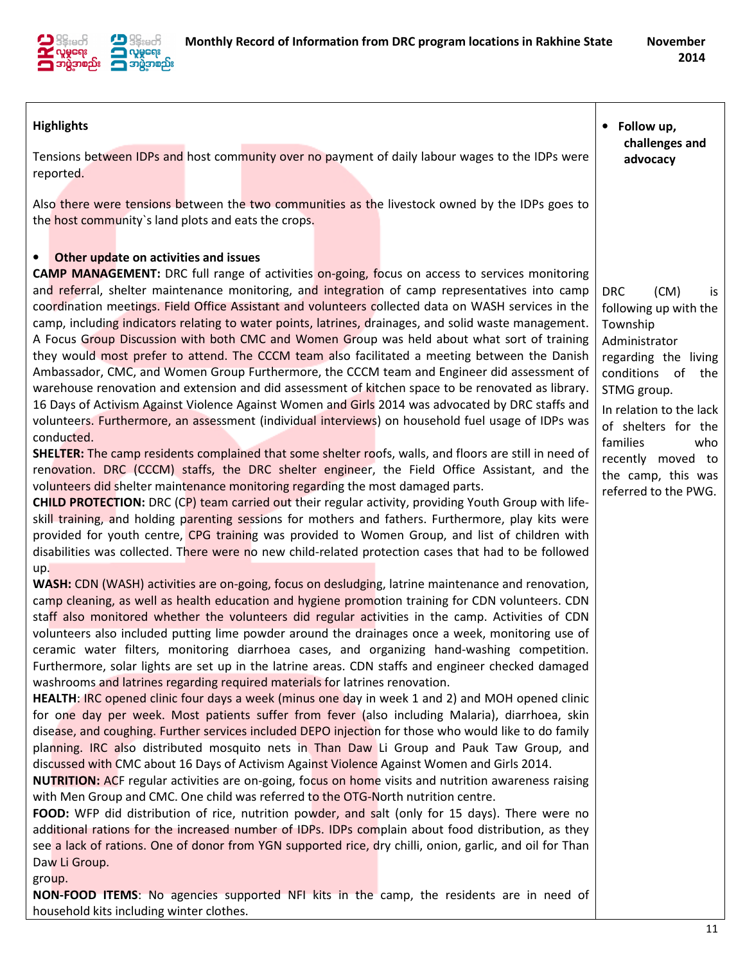

| <b>Highlights</b>                                                                                                                                                                                                                                                                                                                                                                                                                                                                                                                                                                                                                                                                                                                                                                                                                                                                                                                                                                                                                                                                                                                                                                                                                                                                                                                                                                                                                                                                                                                                                                                                                                                                                                                                                                                                                                                                                                                                                                                                                                                                                                                                                                                                                                                                                                                                                                                                                                                                                                                                                                                                                                                                                                                                                                                                                                                                                                                                                     | Follow up,<br>challenges and                                                                                                                                                                                                                                                       |
|-----------------------------------------------------------------------------------------------------------------------------------------------------------------------------------------------------------------------------------------------------------------------------------------------------------------------------------------------------------------------------------------------------------------------------------------------------------------------------------------------------------------------------------------------------------------------------------------------------------------------------------------------------------------------------------------------------------------------------------------------------------------------------------------------------------------------------------------------------------------------------------------------------------------------------------------------------------------------------------------------------------------------------------------------------------------------------------------------------------------------------------------------------------------------------------------------------------------------------------------------------------------------------------------------------------------------------------------------------------------------------------------------------------------------------------------------------------------------------------------------------------------------------------------------------------------------------------------------------------------------------------------------------------------------------------------------------------------------------------------------------------------------------------------------------------------------------------------------------------------------------------------------------------------------------------------------------------------------------------------------------------------------------------------------------------------------------------------------------------------------------------------------------------------------------------------------------------------------------------------------------------------------------------------------------------------------------------------------------------------------------------------------------------------------------------------------------------------------------------------------------------------------------------------------------------------------------------------------------------------------------------------------------------------------------------------------------------------------------------------------------------------------------------------------------------------------------------------------------------------------------------------------------------------------------------------------------------------------|------------------------------------------------------------------------------------------------------------------------------------------------------------------------------------------------------------------------------------------------------------------------------------|
| Tensions between IDPs and host community over no payment of daily labour wages to the IDPs were<br>reported.                                                                                                                                                                                                                                                                                                                                                                                                                                                                                                                                                                                                                                                                                                                                                                                                                                                                                                                                                                                                                                                                                                                                                                                                                                                                                                                                                                                                                                                                                                                                                                                                                                                                                                                                                                                                                                                                                                                                                                                                                                                                                                                                                                                                                                                                                                                                                                                                                                                                                                                                                                                                                                                                                                                                                                                                                                                          | advocacy                                                                                                                                                                                                                                                                           |
| Also there were tensions between the two communities as the livestock owned by the IDPs goes to<br>the host community's land plots and eats the crops.                                                                                                                                                                                                                                                                                                                                                                                                                                                                                                                                                                                                                                                                                                                                                                                                                                                                                                                                                                                                                                                                                                                                                                                                                                                                                                                                                                                                                                                                                                                                                                                                                                                                                                                                                                                                                                                                                                                                                                                                                                                                                                                                                                                                                                                                                                                                                                                                                                                                                                                                                                                                                                                                                                                                                                                                                |                                                                                                                                                                                                                                                                                    |
| Other update on activities and issues<br>$\bullet$<br><b>CAMP MANAGEMENT:</b> DRC full range of activities on-going, focus on access to services monitoring<br>and referral, shelter maintenance monitoring, and integration of camp representatives into camp<br>coordination meetings. Field Office Assistant and volunteers collected data on WASH services in the<br>camp, including indicators relating to water points, latrines, drainages, and solid waste management.<br>A Focus Group Discussion with both CMC and Women Group was held about what sort of training<br>they would most prefer to attend. The CCCM team also facilitated a meeting between the Danish<br>Ambassador, CMC, and Women Group Furthermore, the CCCM team and Engineer did assessment of<br>warehouse renovation and extension and did assessment of kitchen space to be renovated as library.<br>16 Days of Activism Against Violence Against Women and Girls 2014 was advocated by DRC staffs and<br>volunteers. Furthermore, an assessment (individual interviews) on household fuel usage of IDPs was<br>conducted.<br><b>SHELTER:</b> The camp residents complained that some shelter roofs, walls, and floors are still in need of<br>renovation. DRC (CCCM) staffs, the DRC shelter engineer, the Field Office Assistant, and the<br>volunteers did shelter maintenance monitoring regarding the most damaged parts.<br>CHILD PROTECTION: DRC (CP) team carried out their regular activity, providing Youth Group with life-<br>skill training, and holding parenting sessions for mothers and fathers. Furthermore, play kits were<br>provided for youth centre, CPG training was provided to Women Group, and list of children with<br>disabilities was collected. There were no new child-related protection cases that had to be followed<br>up.<br>WASH: CDN (WASH) activities are on-going, focus on desludging, latrine maintenance and renovation,<br>camp cleaning, as well as health education and hygiene promotion training for CDN volunteers. CDN<br>staff also monitored whether the volunteers did regular activities in the camp. Activities of CDN<br>volunteers also included putting lime powder around the drainages once a week, monitoring use of<br>ceramic water filters, monitoring diarrhoea cases, and organizing hand-washing competition.<br>Furthermore, solar lights are set up in the latrine areas. CDN staffs and engineer checked damaged<br>washrooms and latrines regarding required materials for latrines renovation.<br>HEALTH: IRC opened clinic four days a week (minus one day in week 1 and 2) and MOH opened clinic<br>for one day per week. Most patients suffer from fever (also including Malaria), diarrhoea, skin<br>disease, and coughing. Further services included DEPO injection for those who would like to do family<br>planning. IRC also distributed mosquito nets in Than Daw Li Group and Pauk Taw Group, and | (CM)<br><b>DRC</b><br>is<br>following up with the<br>Township<br>Administrator<br>regarding the living<br>conditions of the<br>STMG group.<br>In relation to the lack<br>of shelters for the<br>families<br>who<br>recently moved to<br>the camp, this was<br>referred to the PWG. |
| discussed with CMC about 16 Days of Activism Against Violence Against Women and Girls 2014.<br><b>NUTRITION:</b> ACF regular activities are on-going, focus on home visits and nutrition awareness raising<br>with Men Group and CMC. One child was referred to the OTG-North nutrition centre.                                                                                                                                                                                                                                                                                                                                                                                                                                                                                                                                                                                                                                                                                                                                                                                                                                                                                                                                                                                                                                                                                                                                                                                                                                                                                                                                                                                                                                                                                                                                                                                                                                                                                                                                                                                                                                                                                                                                                                                                                                                                                                                                                                                                                                                                                                                                                                                                                                                                                                                                                                                                                                                                       |                                                                                                                                                                                                                                                                                    |
| FOOD: WFP did distribution of rice, nutrition powder, and salt (only for 15 days). There were no<br>additional rations for the increased number of IDPs. IDPs complain about food distribution, as they<br>see a lack of rations. One of donor from YGN supported rice, dry chilli, onion, garlic, and oil for Than<br>Daw Li Group.                                                                                                                                                                                                                                                                                                                                                                                                                                                                                                                                                                                                                                                                                                                                                                                                                                                                                                                                                                                                                                                                                                                                                                                                                                                                                                                                                                                                                                                                                                                                                                                                                                                                                                                                                                                                                                                                                                                                                                                                                                                                                                                                                                                                                                                                                                                                                                                                                                                                                                                                                                                                                                  |                                                                                                                                                                                                                                                                                    |
| group.<br>NON-FOOD ITEMS: No agencies supported NFI kits in the camp, the residents are in need of<br>household kits including winter clothes.                                                                                                                                                                                                                                                                                                                                                                                                                                                                                                                                                                                                                                                                                                                                                                                                                                                                                                                                                                                                                                                                                                                                                                                                                                                                                                                                                                                                                                                                                                                                                                                                                                                                                                                                                                                                                                                                                                                                                                                                                                                                                                                                                                                                                                                                                                                                                                                                                                                                                                                                                                                                                                                                                                                                                                                                                        |                                                                                                                                                                                                                                                                                    |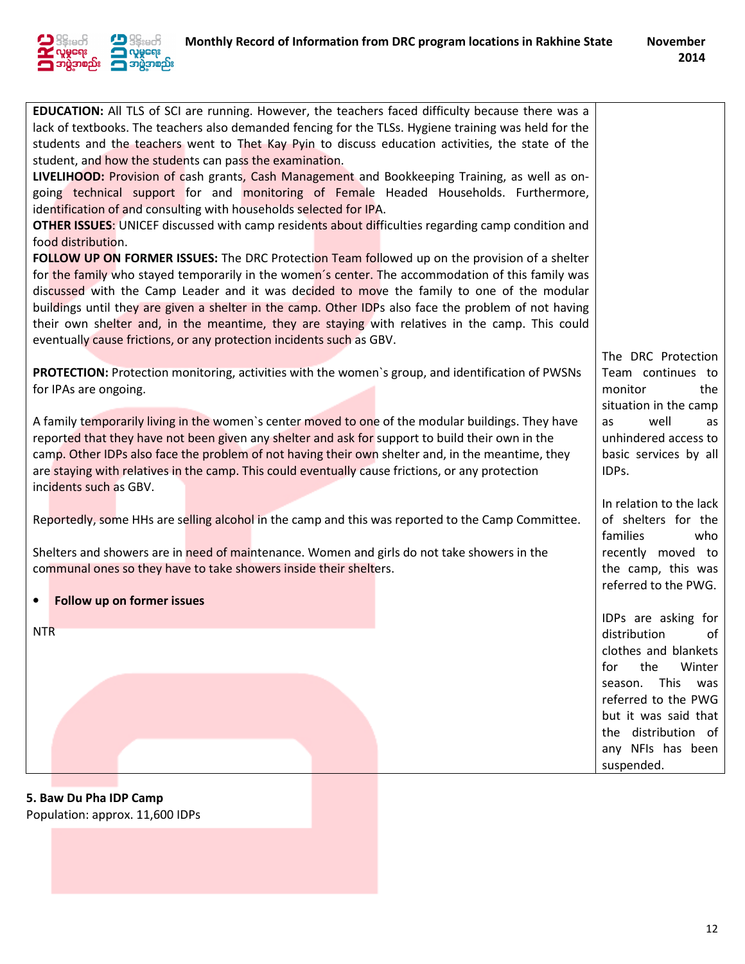

| EDUCATION: All TLS of SCI are running. However, the teachers faced difficulty because there was a<br>lack of textbooks. The teachers also demanded fencing for the TLSs. Hygiene training was held for the<br>students and the teachers went to Thet Kay Pyin to discuss education activities, the state of the<br>student, and how the students can pass the examination.<br>LIVELIHOOD: Provision of cash grants, Cash Management and Bookkeeping Training, as well as on-<br>going technical support for and monitoring of Female Headed Households. Furthermore,<br>identification of and consulting with households selected for IPA.<br><b>OTHER ISSUES:</b> UNICEF discussed with camp residents about difficulties regarding camp condition and<br>food distribution.<br>FOLLOW UP ON FORMER ISSUES: The DRC Protection Team followed up on the provision of a shelter<br>for the family who stayed temporarily in the women's center. The accommodation of this family was<br>discussed with the Camp Leader and it was decided to move the family to one of the modular<br>buildings until they are given a shelter in the camp. Other IDPs also face the problem of not having<br>their own shelter and, in the meantime, they are staying with relatives in the camp. This could |                                                                                                                                                                                   |
|----------------------------------------------------------------------------------------------------------------------------------------------------------------------------------------------------------------------------------------------------------------------------------------------------------------------------------------------------------------------------------------------------------------------------------------------------------------------------------------------------------------------------------------------------------------------------------------------------------------------------------------------------------------------------------------------------------------------------------------------------------------------------------------------------------------------------------------------------------------------------------------------------------------------------------------------------------------------------------------------------------------------------------------------------------------------------------------------------------------------------------------------------------------------------------------------------------------------------------------------------------------------------------------------|-----------------------------------------------------------------------------------------------------------------------------------------------------------------------------------|
| eventually cause frictions, or any protection incidents such as GBV.                                                                                                                                                                                                                                                                                                                                                                                                                                                                                                                                                                                                                                                                                                                                                                                                                                                                                                                                                                                                                                                                                                                                                                                                                         |                                                                                                                                                                                   |
| PROTECTION: Protection monitoring, activities with the women's group, and identification of PWSNs<br>for IPAs are ongoing.                                                                                                                                                                                                                                                                                                                                                                                                                                                                                                                                                                                                                                                                                                                                                                                                                                                                                                                                                                                                                                                                                                                                                                   | The DRC Protection<br>Team continues to<br>monitor<br>the<br>situation in the camp                                                                                                |
| A family temporarily living in the women's center moved to one of the modular buildings. They have<br>reported that they have not been given any shelter and ask for support to build their own in the<br>camp. Other IDPs also face the problem of not having their own shelter and, in the meantime, they<br>are staying with relatives in the camp. This could eventually cause frictions, or any protection<br>incidents such as GBV.                                                                                                                                                                                                                                                                                                                                                                                                                                                                                                                                                                                                                                                                                                                                                                                                                                                    | well<br>as<br>as<br>unhindered access to<br>basic services by all<br>IDPs.                                                                                                        |
|                                                                                                                                                                                                                                                                                                                                                                                                                                                                                                                                                                                                                                                                                                                                                                                                                                                                                                                                                                                                                                                                                                                                                                                                                                                                                              | In relation to the lack                                                                                                                                                           |
| Reportedly, some HHs are selling alcohol in the camp and this was reported to the Camp Committee.                                                                                                                                                                                                                                                                                                                                                                                                                                                                                                                                                                                                                                                                                                                                                                                                                                                                                                                                                                                                                                                                                                                                                                                            | of shelters for the<br>families<br>who                                                                                                                                            |
| Shelters and showers are in need of maintenance. Women and girls do not take showers in the<br>communal ones so they have to take showers inside their shelters.                                                                                                                                                                                                                                                                                                                                                                                                                                                                                                                                                                                                                                                                                                                                                                                                                                                                                                                                                                                                                                                                                                                             | recently moved to<br>the camp, this was<br>referred to the PWG.                                                                                                                   |
| Follow up on former issues<br>$\bullet$                                                                                                                                                                                                                                                                                                                                                                                                                                                                                                                                                                                                                                                                                                                                                                                                                                                                                                                                                                                                                                                                                                                                                                                                                                                      |                                                                                                                                                                                   |
|                                                                                                                                                                                                                                                                                                                                                                                                                                                                                                                                                                                                                                                                                                                                                                                                                                                                                                                                                                                                                                                                                                                                                                                                                                                                                              | IDPs are asking for                                                                                                                                                               |
| <b>NTR</b>                                                                                                                                                                                                                                                                                                                                                                                                                                                                                                                                                                                                                                                                                                                                                                                                                                                                                                                                                                                                                                                                                                                                                                                                                                                                                   | distribution<br>∩f<br>clothes and blankets<br>the<br>Winter<br>for<br>season. This was<br>referred to the PWG<br>but it was said that<br>the distribution of<br>any NFIs has been |
|                                                                                                                                                                                                                                                                                                                                                                                                                                                                                                                                                                                                                                                                                                                                                                                                                                                                                                                                                                                                                                                                                                                                                                                                                                                                                              | suspended.                                                                                                                                                                        |

5. Baw Du Pha IDP Camp

Population: approx. 11,600 IDPs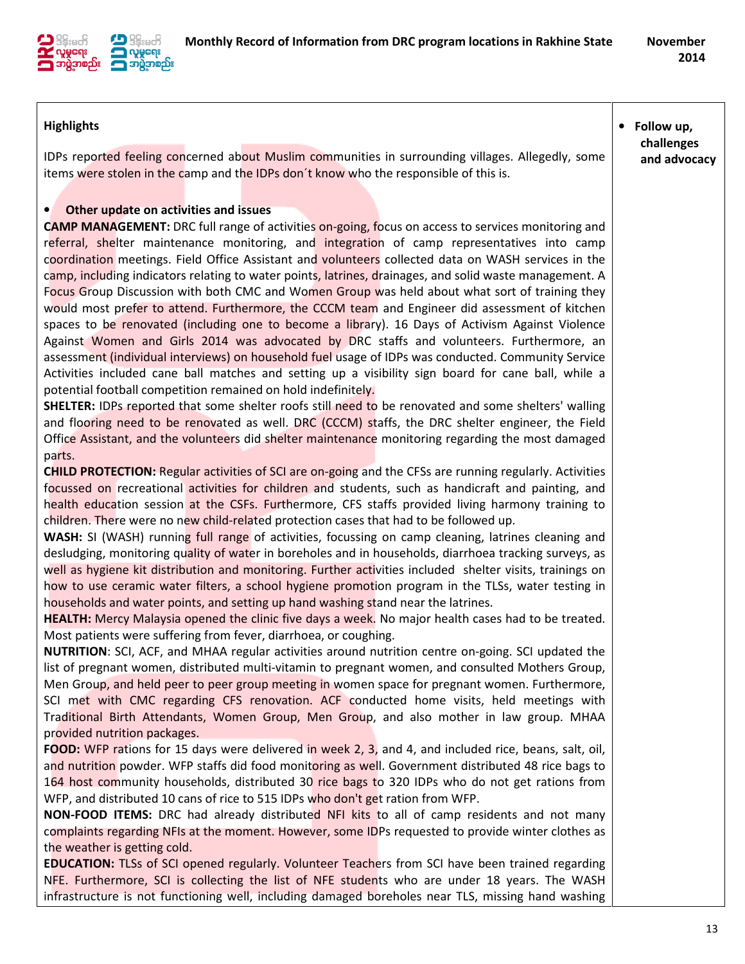

| <b>Highlights</b><br>IDPs reported feeling concerned about Muslim communities in surrounding villages. Allegedly, some<br>items were stolen in the camp and the IDPs don't know who the responsible of this is.                                                                                                                                                                                                                                                                                                                                                                                                                                                                                                                                                                                                                                                                                                                                                                                                                                                                                                                                                                                                                                                                                                                                                                                                                                                                                                                                                                                                                                                                                                                                                                                                                                                                                                                                                                                                                                                                                                                                                                                                                                                                                                                                                                                                                                                                                                                                                        | • Follow up,<br>challenges<br>and advocacy |
|------------------------------------------------------------------------------------------------------------------------------------------------------------------------------------------------------------------------------------------------------------------------------------------------------------------------------------------------------------------------------------------------------------------------------------------------------------------------------------------------------------------------------------------------------------------------------------------------------------------------------------------------------------------------------------------------------------------------------------------------------------------------------------------------------------------------------------------------------------------------------------------------------------------------------------------------------------------------------------------------------------------------------------------------------------------------------------------------------------------------------------------------------------------------------------------------------------------------------------------------------------------------------------------------------------------------------------------------------------------------------------------------------------------------------------------------------------------------------------------------------------------------------------------------------------------------------------------------------------------------------------------------------------------------------------------------------------------------------------------------------------------------------------------------------------------------------------------------------------------------------------------------------------------------------------------------------------------------------------------------------------------------------------------------------------------------------------------------------------------------------------------------------------------------------------------------------------------------------------------------------------------------------------------------------------------------------------------------------------------------------------------------------------------------------------------------------------------------------------------------------------------------------------------------------------------------|--------------------------------------------|
| Other update on activities and issues<br>$\bullet$<br><b>CAMP MANAGEMENT:</b> DRC full range of activities on-going, focus on access to services monitoring and<br>referral, shelter maintenance monitoring, and integration of camp representatives into camp<br>coordination meetings. Field Office Assistant and volunteers collected data on WASH services in the<br>camp, including indicators relating to water points, latrines, drainages, and solid waste management. A<br>Focus Group Discussion with both CMC and Women Group was held about what sort of training they<br>would most prefer to attend. Furthermore, the CCCM team and Engineer did assessment of kitchen<br>spaces to be renovated (including one to become a library). 16 Days of Activism Against Violence<br>Against Women and Girls 2014 was advocated by DRC staffs and volunteers. Furthermore, an<br>assessment (individual interviews) on household fuel usage of IDPs was conducted. Community Service<br>Activities included cane ball matches and setting up a visibility sign board for cane ball, while a<br>potential football competition remained on hold indefinitely.<br><b>SHELTER:</b> IDPs reported that some shelter roofs still need to be renovated and some shelters' walling<br>and flooring need to be renovated as well. DRC (CCCM) staffs, the DRC shelter engineer, the Field<br>Office Assistant, and the volunteers did shelter maintenance monitoring regarding the most damaged<br>parts.<br><b>CHILD PROTECTION:</b> Regular activities of SCI are on-going and the CFSs are running regularly. Activities<br>focussed on recreational activities for children and students, such as handicraft and painting, and<br>health education session at the CSFs. Furthermore, CFS staffs provided living harmony training to<br>children. There were no new child-related protection cases that had to be followed up.<br><b>WASH:</b> SI (WASH) running full range of activities, focussing on camp cleaning, latrines cleaning and<br>desludging, monitoring quality of water in boreholes and in households, diarrhoea tracking surveys, as<br>well as hygiene kit distribution and monitoring. Further activities included shelter visits, trainings on<br>how to use ceramic water filters, a school hygiene promotion program in the TLSs, water testing in<br>households and water points, and setting up hand washing stand near the latrines.<br>HEALTH: Mercy Malaysia opened the clinic five days a week. No major health cases had to be treated. |                                            |
| Most patients were suffering from fever, diarrhoea, or coughing.<br>NUTRITION: SCI, ACF, and MHAA regular activities around nutrition centre on-going. SCI updated the<br>list of pregnant women, distributed multi-vitamin to pregnant women, and consulted Mothers Group,<br>Men Group, and held peer to peer group meeting in women space for pregnant women. Furthermore,<br>SCI met with CMC regarding CFS renovation. ACF conducted home visits, held meetings with<br>Traditional Birth Attendants, Women Group, Men Group, and also mother in law group. MHAA<br>provided nutrition packages.                                                                                                                                                                                                                                                                                                                                                                                                                                                                                                                                                                                                                                                                                                                                                                                                                                                                                                                                                                                                                                                                                                                                                                                                                                                                                                                                                                                                                                                                                                                                                                                                                                                                                                                                                                                                                                                                                                                                                                  |                                            |
| FOOD: WFP rations for 15 days were delivered in week 2, 3, and 4, and included rice, beans, salt, oil,<br>and nutrition powder. WFP staffs did food monitoring as well. Government distributed 48 rice bags to<br>164 host community households, distributed 30 rice bags to 320 IDPs who do not get rations from<br>WFP, and distributed 10 cans of rice to 515 IDPs who don't get ration from WFP.<br>NON-FOOD ITEMS: DRC had already distributed NFI kits to all of camp residents and not many<br>complaints regarding NFIs at the moment. However, some IDPs requested to provide winter clothes as<br>the weather is getting cold.                                                                                                                                                                                                                                                                                                                                                                                                                                                                                                                                                                                                                                                                                                                                                                                                                                                                                                                                                                                                                                                                                                                                                                                                                                                                                                                                                                                                                                                                                                                                                                                                                                                                                                                                                                                                                                                                                                                               |                                            |
| <b>EDUCATION:</b> TLSs of SCI opened regularly. Volunteer Teachers from SCI have been trained regarding<br>NFE. Furthermore, SCI is collecting the list of NFE students who are under 18 years. The WASH<br>infrastructure is not functioning well, including damaged boreholes near TLS, missing hand washing                                                                                                                                                                                                                                                                                                                                                                                                                                                                                                                                                                                                                                                                                                                                                                                                                                                                                                                                                                                                                                                                                                                                                                                                                                                                                                                                                                                                                                                                                                                                                                                                                                                                                                                                                                                                                                                                                                                                                                                                                                                                                                                                                                                                                                                         |                                            |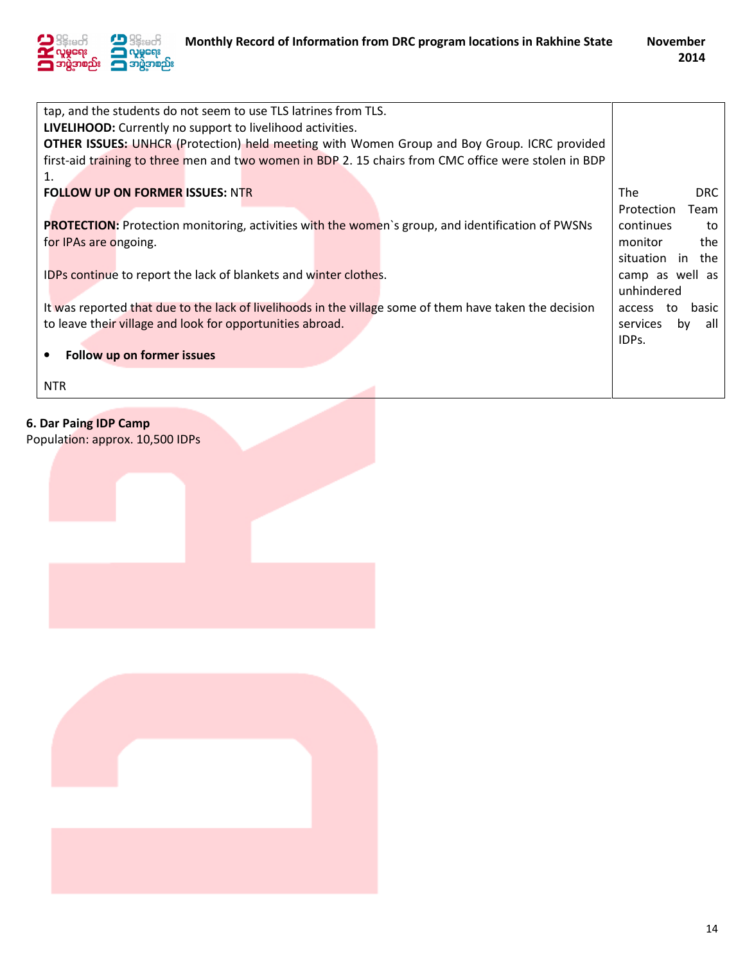

| tap, and the students do not seem to use TLS latrines from TLS.                                          |                          |
|----------------------------------------------------------------------------------------------------------|--------------------------|
| LIVELIHOOD: Currently no support to livelihood activities.                                               |                          |
| <b>OTHER ISSUES:</b> UNHCR (Protection) held meeting with Women Group and Boy Group. ICRC provided       |                          |
| first-aid training to three men and two women in BDP 2. 15 chairs from CMC office were stolen in BDP     |                          |
| 1.                                                                                                       |                          |
| <b>FOLLOW UP ON FORMER ISSUES: NTR</b>                                                                   | <b>The</b><br><b>DRC</b> |
|                                                                                                          | Protection<br>Team       |
| <b>PROTECTION:</b> Protection monitoring, activities with the women's group, and identification of PWSNs | continues<br>to          |
| for IPAs are ongoing.                                                                                    | monitor<br>the           |
|                                                                                                          | situation in the         |
| IDPs continue to report the lack of blankets and winter clothes.                                         | camp as well as          |
|                                                                                                          | unhindered               |
| It was reported that due to the lack of livelihoods in the village some of them have taken the decision  | basic<br>access<br>to    |
| to leave their village and look for opportunities abroad.                                                | services<br>all<br>by    |
|                                                                                                          | IDPs.                    |
| Follow up on former issues                                                                               |                          |
|                                                                                                          |                          |
| <b>NTR</b>                                                                                               |                          |

# 6. Dar Paing IDP Camp

Population: approx. 10,500 IDPs

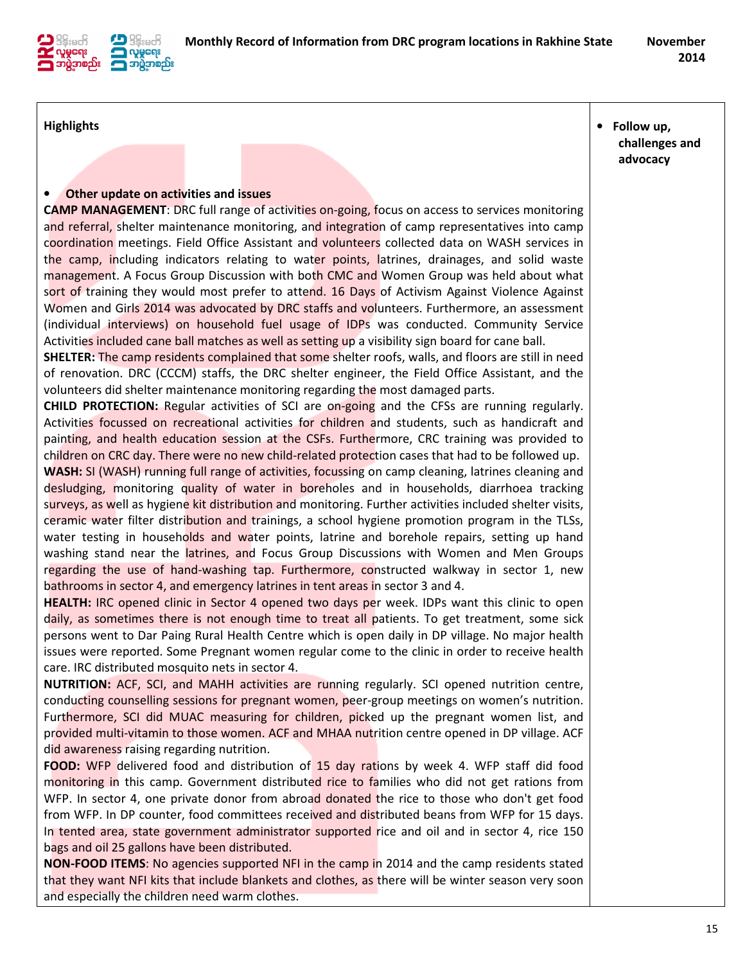

#### **Highlights**

• Follow up, challenges and advocacy

#### • Other update on activities and issues

CAMP MANAGEMENT: DRC full range of activities on-going, focus on access to services monitoring and referral, shelter maintenance monitoring, and integration of camp representatives into camp coordination meetings. Field Office Assistant and volunteers collected data on WASH services in the camp, including indicators relating to water points, latrines, drainages, and solid waste management. A Focus Group Discussion with both CMC and Women Group was held about what sort of training they would most prefer to attend. 16 Days of Activism Against Violence Against Women and Girls 2014 was advocated by DRC staffs and volunteers. Furthermore, an assessment (individual interviews) on household fuel usage of IDPs was conducted. Community Service Activities included cane ball matches as well as setting up a visibility sign board for cane ball.

SHELTER: The camp residents complained that some shelter roofs, walls, and floors are still in need of renovation. DRC (CCCM) staffs, the DRC shelter engineer, the Field Office Assistant, and the volunteers did shelter maintenance monitoring regarding the most damaged parts.

CHILD PROTECTION: Regular activities of SCI are on-going and the CFSs are running regularly. Activities focussed on recreational activities for children and students, such as handicraft and painting, and health education session at the CSFs. Furthermore, CRC training was provided to children on CRC day. There were no new child-related protection cases that had to be followed up.

WASH: SI (WASH) running full range of activities, focussing on camp cleaning, latrines cleaning and desludging, monitoring quality of water in boreholes and in households, diarrhoea tracking surveys, as well as hygiene kit distribution and monitoring. Further activities included shelter visits, ceramic water filter distribution and trainings, a school hygiene promotion program in the TLSs, water testing in households and water points, latrine and borehole repairs, setting up hand washing stand near the *latrines*, and Focus Group Discussions with Women and Men Groups regarding the use of hand-washing tap. Furthermore, constructed walkway in sector 1, new bathrooms in sector 4, and emergency latrines in tent areas in sector 3 and 4.

HEALTH: IRC opened clinic in Sector 4 opened two days per week. IDPs want this clinic to open daily, as sometimes there is not enough time to treat all patients. To get treatment, some sick persons went to Dar Paing Rural Health Centre which is open daily in DP village. No major health issues were reported. Some Pregnant women regular come to the clinic in order to receive health care. IRC distributed mosquito nets in sector 4.

NUTRITION: ACF, SCI, and MAHH activities are running regularly. SCI opened nutrition centre, conducting counselling sessions for pregnant women, peer-group meetings on women's nutrition. Furthermore, SCI did MUAC measuring for children, picked up the pregnant women list, and provided multi-vitamin to those women. ACF and MHAA nutrition centre opened in DP village. ACF did awareness raising regarding nutrition.

**FOOD:** WFP delivered food and distribution of 15 day rations by week 4. WFP staff did food monitoring in this camp. Government distributed rice to families who did not get rations from WFP. In sector 4, one private donor from abroad donated the rice to those who don't get food from WFP. In DP counter, food committees received and distributed beans from WFP for 15 days. In tented area, state government administrator supported rice and oil and in sector 4, rice 150 bags and oil 25 gallons have been distributed.

NON-FOOD ITEMS: No agencies supported NFI in the camp in 2014 and the camp residents stated that they want NFI kits that include blankets and clothes, as there will be winter season very soon and especially the children need warm clothes.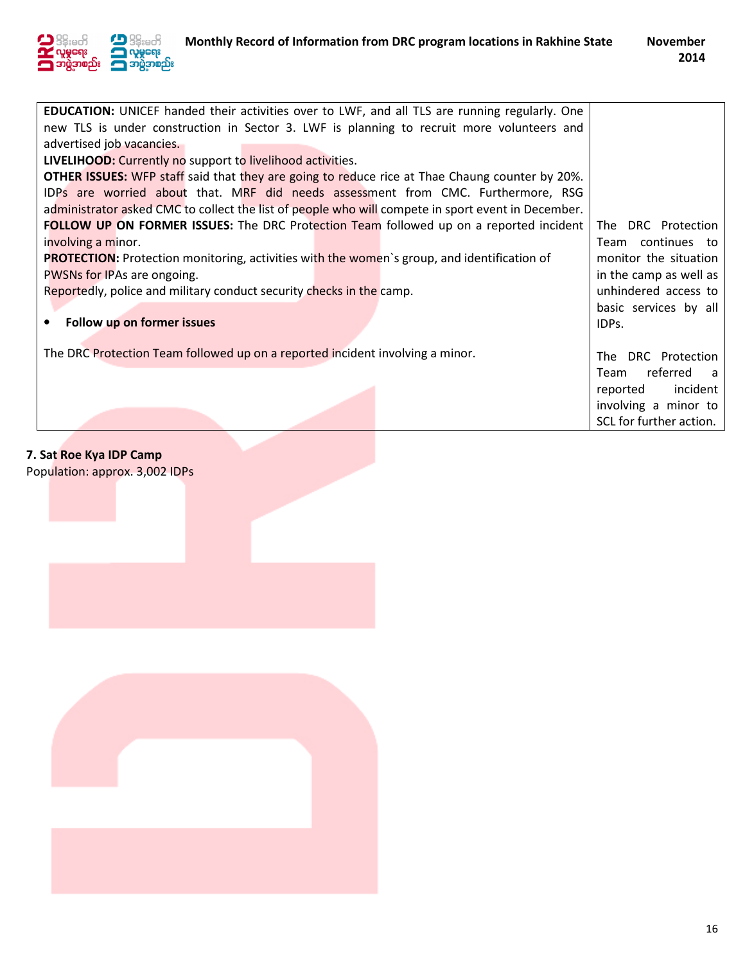

| <b>EDUCATION:</b> UNICEF handed their activities over to LWF, and all TLS are running regularly. One  |                         |
|-------------------------------------------------------------------------------------------------------|-------------------------|
| new TLS is under construction in Sector 3. LWF is planning to recruit more volunteers and             |                         |
| advertised job vacancies.                                                                             |                         |
| LIVELIHOOD: Currently no support to livelihood activities.                                            |                         |
| <b>OTHER ISSUES:</b> WFP staff said that they are going to reduce rice at Thae Chaung counter by 20%. |                         |
| IDPs are worried about that. MRF did needs assessment from CMC. Furthermore, RSG                      |                         |
| administrator asked CMC to collect the list of people who will compete in sport event in December.    |                         |
| <b>FOLLOW UP ON FORMER ISSUES:</b> The DRC Protection Team followed up on a reported incident         | DRC Protection<br>The l |
| involving a minor.                                                                                    | Team continues to       |
| <b>PROTECTION:</b> Protection monitoring, activities with the women's group, and identification of    | monitor the situation   |
| PWSNs for IPAs are ongoing.                                                                           | in the camp as well as  |
| Reportedly, police and military conduct security checks in the camp.                                  | unhindered access to    |
|                                                                                                       | basic services by all   |
| Follow up on former issues                                                                            | IDPs.                   |
|                                                                                                       |                         |
| The DRC Protection Team followed up on a reported incident involving a minor.                         | The DRC Protection      |
|                                                                                                       | referred<br>Team<br>- a |
|                                                                                                       | incident<br>reported    |
|                                                                                                       | involving a minor to    |
|                                                                                                       | SCL for further action. |
|                                                                                                       |                         |

## 7. Sat Roe Kya IDP Camp

Population: approx. 3,002 IDPs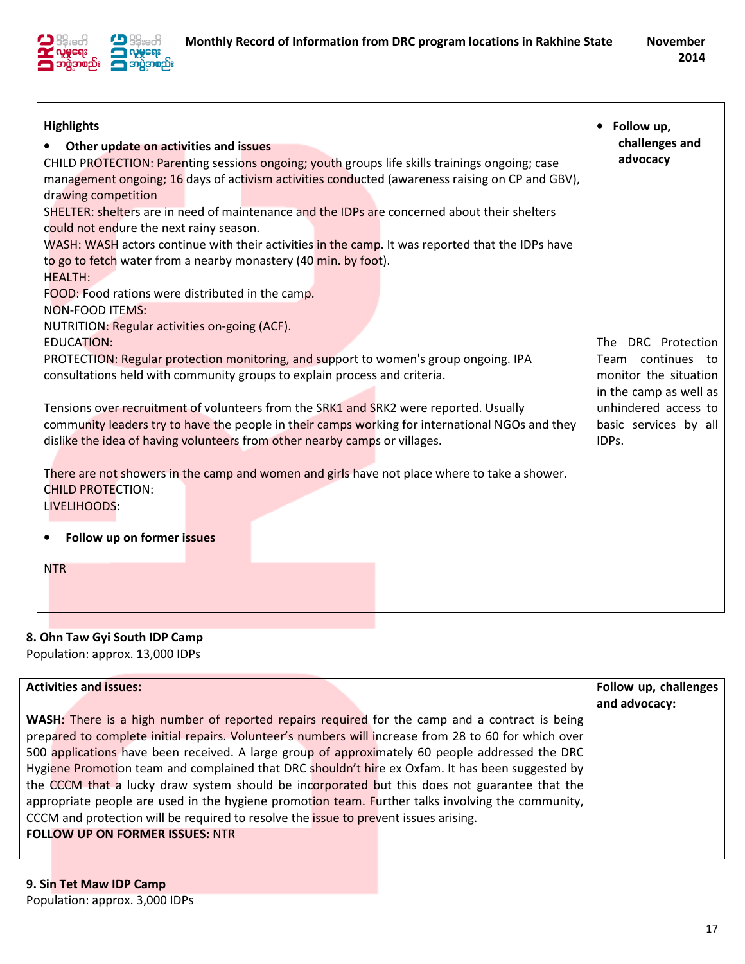

| <b>Highlights</b><br>Other update on activities and issues<br>CHILD PROTECTION: Parenting sessions ongoing; youth groups life skills trainings ongoing; case<br>management ongoing; 16 days of activism activities conducted (awareness raising on CP and GBV),<br>drawing competition<br>SHELTER: shelters are in need of maintenance and the IDPs are concerned about their shelters<br>could not endure the next rainy season.<br>WASH: WASH actors continue with their activities in the camp. It was reported that the IDPs have<br>to go to fetch water from a nearby monastery (40 min. by foot).<br><b>HEALTH:</b><br>FOOD: Food rations were distributed in the camp.<br><b>NON-FOOD ITEMS:</b><br>NUTRITION: Regular activities on-going (ACF).<br><b>EDUCATION:</b><br>PROTECTION: Regular protection monitoring, and support to women's group ongoing. IPA<br>consultations held with community groups to explain process and criteria.<br>Tensions over recruitment of volunteers from the SRK1 and SRK2 were reported. Usually<br>community leaders try to have the people in their camps working for international NGOs and they<br>dislike the idea of having volunteers from other nearby camps or villages.<br>There are not showers in the camp and women and girls have not place where to take a shower.<br><b>CHILD PROTECTION:</b><br>LIVELIHOODS: | Follow up,<br>challenges and<br>advocacy<br>The DRC Protection<br>Team continues<br>to<br>monitor the situation<br>in the camp as well as<br>unhindered access to<br>basic services by all<br>IDPs. |
|---------------------------------------------------------------------------------------------------------------------------------------------------------------------------------------------------------------------------------------------------------------------------------------------------------------------------------------------------------------------------------------------------------------------------------------------------------------------------------------------------------------------------------------------------------------------------------------------------------------------------------------------------------------------------------------------------------------------------------------------------------------------------------------------------------------------------------------------------------------------------------------------------------------------------------------------------------------------------------------------------------------------------------------------------------------------------------------------------------------------------------------------------------------------------------------------------------------------------------------------------------------------------------------------------------------------------------------------------------------------------|-----------------------------------------------------------------------------------------------------------------------------------------------------------------------------------------------------|
|                                                                                                                                                                                                                                                                                                                                                                                                                                                                                                                                                                                                                                                                                                                                                                                                                                                                                                                                                                                                                                                                                                                                                                                                                                                                                                                                                                           |                                                                                                                                                                                                     |
| Follow up on former issues                                                                                                                                                                                                                                                                                                                                                                                                                                                                                                                                                                                                                                                                                                                                                                                                                                                                                                                                                                                                                                                                                                                                                                                                                                                                                                                                                |                                                                                                                                                                                                     |
| <b>NTR</b>                                                                                                                                                                                                                                                                                                                                                                                                                                                                                                                                                                                                                                                                                                                                                                                                                                                                                                                                                                                                                                                                                                                                                                                                                                                                                                                                                                |                                                                                                                                                                                                     |
|                                                                                                                                                                                                                                                                                                                                                                                                                                                                                                                                                                                                                                                                                                                                                                                                                                                                                                                                                                                                                                                                                                                                                                                                                                                                                                                                                                           |                                                                                                                                                                                                     |

## 8. Ohn Taw Gyi South IDP Camp

Population: approx. 13,000 IDPs

| <b>Activities and issues:</b>                                                                         | Follow up, challenges<br>and advocacy: |
|-------------------------------------------------------------------------------------------------------|----------------------------------------|
| <b>WASH:</b> There is a high number of reported repairs required for the camp and a contract is being |                                        |
| prepared to complete initial repairs. Volunteer's numbers will increase from 28 to 60 for which over  |                                        |
| 500 applications have been received. A large group of approximately 60 people addressed the DRC       |                                        |
| Hygiene Promotion team and complained that DRC shouldn't hire ex Oxfam. It has been suggested by      |                                        |
| the CCCM that a lucky draw system should be incorporated but this does not guarantee that the         |                                        |
| appropriate people are used in the hygiene promotion team. Further talks involving the community,     |                                        |
| CCCM and protection will be required to resolve the issue to prevent issues arising.                  |                                        |
| <b>FOLLOW UP ON FORMER ISSUES: NTR</b>                                                                |                                        |
|                                                                                                       |                                        |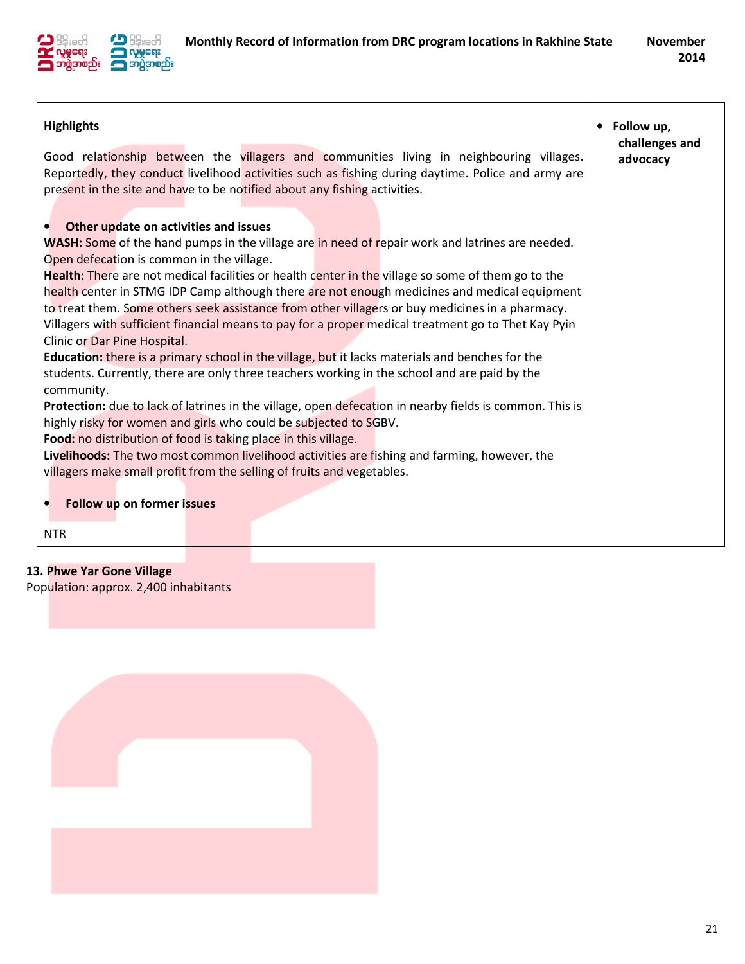

| <b>Highlights</b>                                                                                       | • Follow up,<br>challenges and |
|---------------------------------------------------------------------------------------------------------|--------------------------------|
| Good relationship between the villagers and communities living in neighbouring villages.                | advocacy                       |
| Reportedly, they conduct livelihood activities such as fishing during daytime. Police and army are      |                                |
| present in the site and have to be notified about any fishing activities.                               |                                |
|                                                                                                         |                                |
| Other update on activities and issues<br>$\bullet$                                                      |                                |
| <b>WASH:</b> Some of the hand pumps in the village are in need of repair work and latrines are needed.  |                                |
| Open defecation is common in the village.                                                               |                                |
| Health: There are not medical facilities or health center in the village so some of them go to the      |                                |
| health center in STMG IDP Camp although there are not enough medicines and medical equipment            |                                |
| to treat them. Some others seek assistance from other villagers or buy medicines in a pharmacy.         |                                |
| Villagers with sufficient financial means to pay for a proper medical treatment go to Thet Kay Pyin     |                                |
| Clinic or Dar Pine Hospital.                                                                            |                                |
| <b>Education:</b> there is a primary school in the village, but it lacks materials and benches for the  |                                |
| students. Currently, there are only three teachers working in the school and are paid by the            |                                |
| community.                                                                                              |                                |
| Protection: due to lack of latrines in the village, open defecation in nearby fields is common. This is |                                |
| highly risky for women and girls who could be subjected to SGBV.                                        |                                |
| Food: no distribution of food is taking place in this village.                                          |                                |
| Livelihoods: The two most common livelihood activities are fishing and farming, however, the            |                                |
| villagers make small profit from the selling of fruits and vegetables.                                  |                                |
|                                                                                                         |                                |
| Follow up on former issues<br>$\bullet$                                                                 |                                |
| <b>NTR</b>                                                                                              |                                |

### 13. Phwe Yar Gone Village

Population: approx. 2,400 inhabitants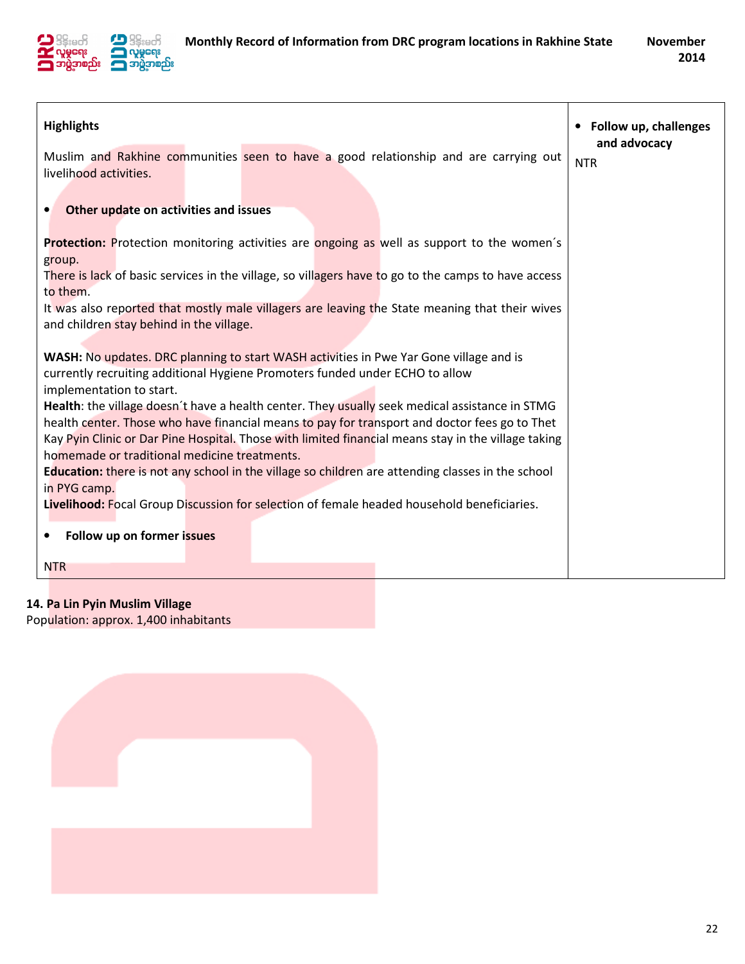

| <b>Highlights</b>                                                                                                                                                                               | • Follow up, challenges<br>and advocacy |
|-------------------------------------------------------------------------------------------------------------------------------------------------------------------------------------------------|-----------------------------------------|
| Muslim and Rakhine communities seen to have a good relationship and are carrying out<br>livelihood activities.                                                                                  | <b>NTR</b>                              |
| Other update on activities and issues<br>$\bullet$                                                                                                                                              |                                         |
| Protection: Protection monitoring activities are ongoing as well as support to the women's<br>group.                                                                                            |                                         |
| There is lack of basic services in the village, so villagers have to go to the camps to have access<br>to them.                                                                                 |                                         |
| It was also reported that mostly male villagers are leaving the State meaning that their wives<br>and children stay behind in the village.                                                      |                                         |
| <b>WASH:</b> No updates. DRC planning to start WASH activities in Pwe Yar Gone village and is                                                                                                   |                                         |
| currently recruiting additional Hygiene Promoters funded under ECHO to allow<br>implementation to start.                                                                                        |                                         |
| Health: the village doesn't have a health center. They usually seek medical assistance in STMG<br>health center. Those who have financial means to pay for transport and doctor fees go to Thet |                                         |
| Kay Pyin Clinic or Dar Pine Hospital. Those with limited financial means stay in the village taking<br>homemade or traditional medicine treatments.                                             |                                         |
| Education: there is not any school in the village so children are attending classes in the school<br>in PYG camp.                                                                               |                                         |
| Livelihood: Focal Group Discussion for selection of female headed household beneficiaries.                                                                                                      |                                         |
| Follow up on former issues<br>$\bullet$                                                                                                                                                         |                                         |
| <b>NTR</b>                                                                                                                                                                                      |                                         |

# 14. Pa Lin Pyin Muslim Village

Population: approx. 1,400 inhabitants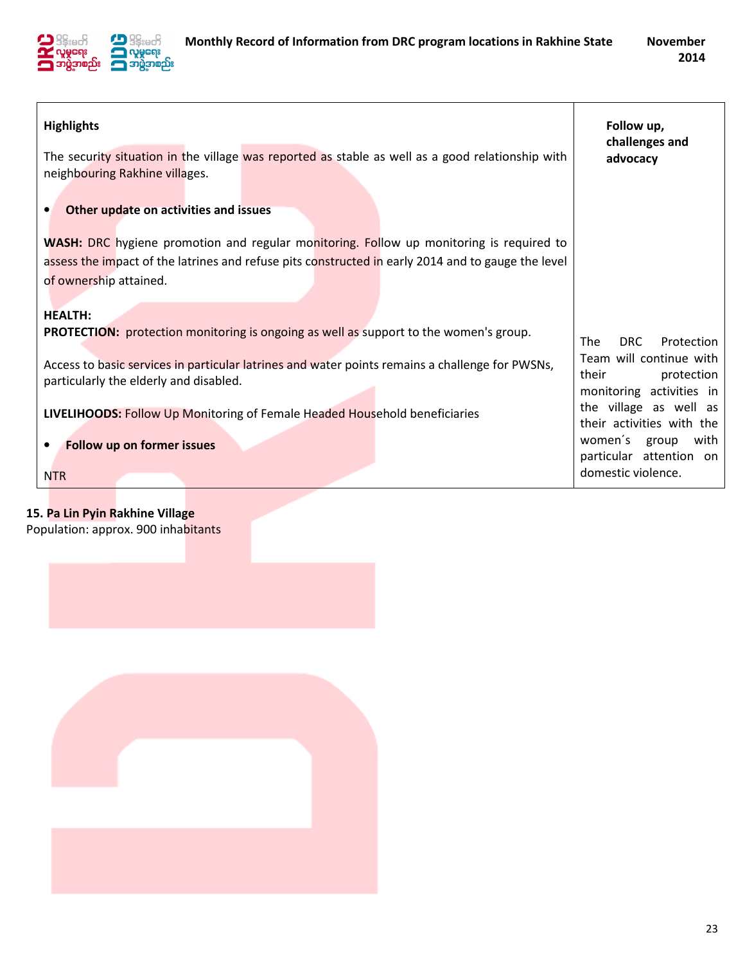

| <b>Highlights</b>                                                                                                                                                                                                       | Follow up,<br>challenges and                                               |
|-------------------------------------------------------------------------------------------------------------------------------------------------------------------------------------------------------------------------|----------------------------------------------------------------------------|
| The security situation in the village was reported as stable as well as a good relationship with<br>neighbouring Rakhine villages.                                                                                      | advocacy                                                                   |
| Other update on activities and issues                                                                                                                                                                                   |                                                                            |
| WASH: DRC hygiene promotion and regular monitoring. Follow up monitoring is required to<br>assess the impact of the latrines and refuse pits constructed in early 2014 and to gauge the level<br>of ownership attained. |                                                                            |
| <b>HEALTH:</b><br><b>PROTECTION:</b> protection monitoring is ongoing as well as support to the women's group.                                                                                                          | DRC<br><b>The</b><br>Protection                                            |
| Access to basic services in particular latrines and water points remains a challenge for PWSNs,<br>particularly the elderly and disabled.                                                                               | Team will continue with<br>their<br>protection<br>monitoring activities in |
| <b>LIVELIHOODS:</b> Follow Up Monitoring of Female Headed Household beneficiaries                                                                                                                                       | the village as well as<br>their activities with the                        |
| Follow up on former issues                                                                                                                                                                                              | women's group<br>with<br>particular attention on                           |
| <b>NTR</b>                                                                                                                                                                                                              | domestic violence.                                                         |

15. Pa Lin Pyin Rakhine Village Population: approx. 900 inhabitants

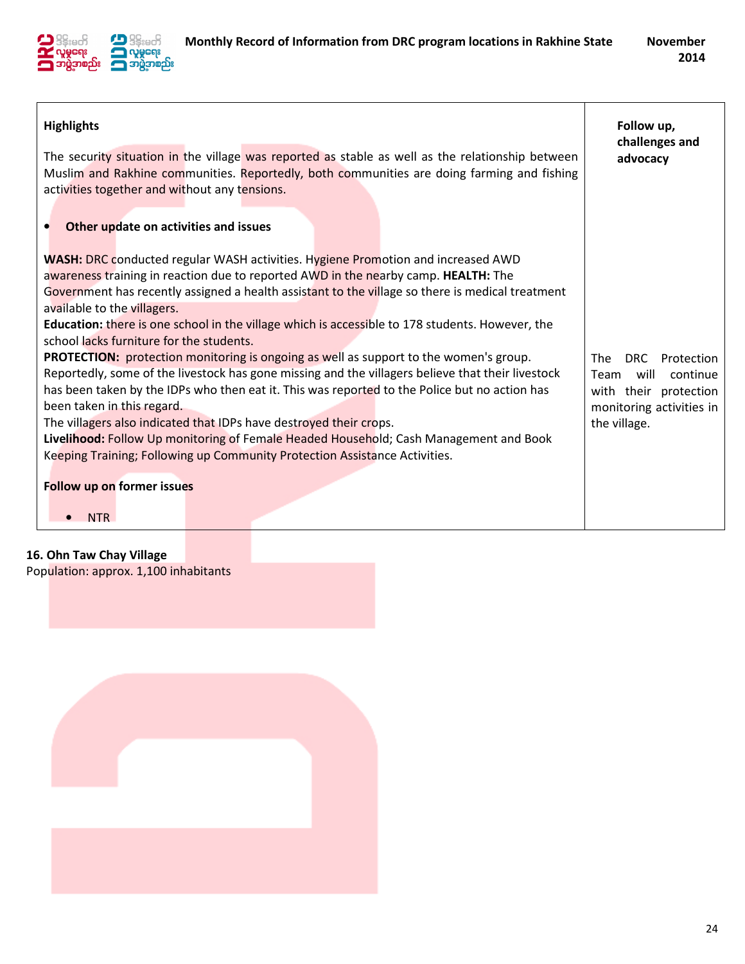

| <b>Highlights</b><br>The security situation in the village was reported as stable as well as the relationship between<br>Muslim and Rakhine communities. Reportedly, both communities are doing farming and fishing<br>activities together and without any tensions.<br>Other update on activities and issues                                                                                                                                                                                                                                                                                                                                                                                                                                                                                                                                                                                                                                                                                                                                                                                | Follow up,<br>challenges and<br>advocacy                                                                                         |
|----------------------------------------------------------------------------------------------------------------------------------------------------------------------------------------------------------------------------------------------------------------------------------------------------------------------------------------------------------------------------------------------------------------------------------------------------------------------------------------------------------------------------------------------------------------------------------------------------------------------------------------------------------------------------------------------------------------------------------------------------------------------------------------------------------------------------------------------------------------------------------------------------------------------------------------------------------------------------------------------------------------------------------------------------------------------------------------------|----------------------------------------------------------------------------------------------------------------------------------|
| <b>WASH:</b> DRC conducted regular WASH activities. Hygiene Promotion and increased AWD<br>awareness training in reaction due to reported AWD in the nearby camp. HEALTH: The<br>Government has recently assigned a health assistant to the village so there is medical treatment<br>available to the villagers.<br>Education: there is one school in the village which is accessible to 178 students. However, the<br>school lacks furniture for the students.<br>PROTECTION: protection monitoring is ongoing as well as support to the women's group.<br>Reportedly, some of the livestock has gone missing and the villagers believe that their livestock<br>has been taken by the IDPs who then eat it. This was reported to the Police but no action has<br>been taken in this regard.<br>The villagers also indicated that IDPs have destroyed their crops.<br>Livelihood: Follow Up monitoring of Female Headed Household; Cash Management and Book<br>Keeping Training; Following up Community Protection Assistance Activities.<br><b>Follow up on former issues</b><br><b>NTR</b> | The<br><b>DRC</b><br>Protection<br>will<br>Team<br>continue<br>with their protection<br>monitoring activities in<br>the village. |

# 16. Ohn Taw Chay Village

Population: approx. 1,100 inhabitants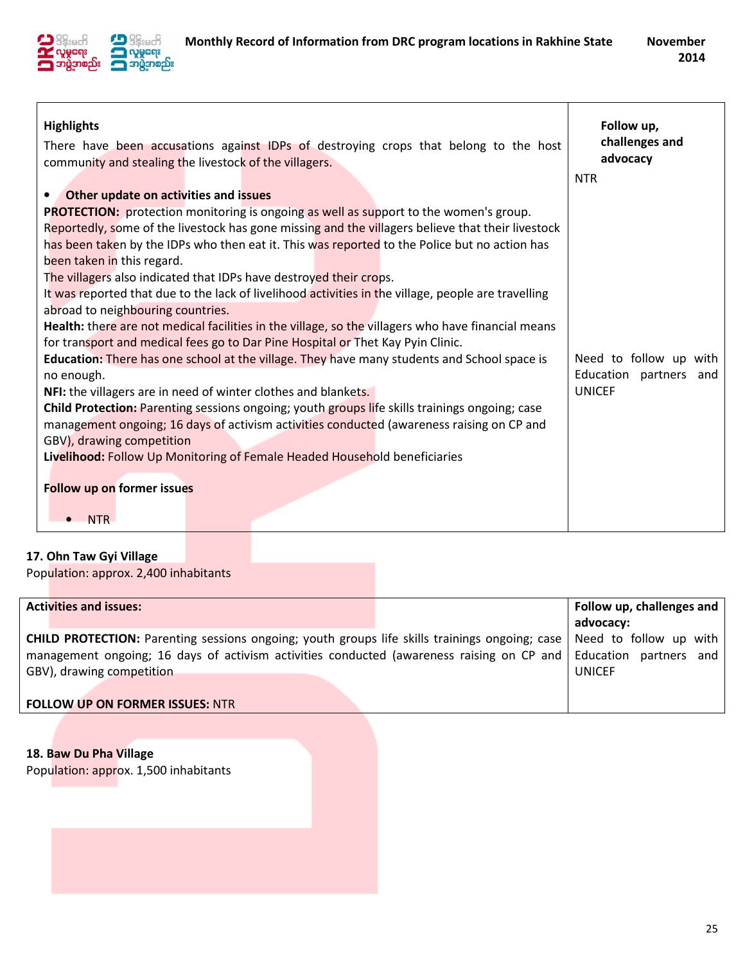

| <b>Highlights</b><br>There have been accusations against IDPs of destroying crops that belong to the host<br>community and stealing the livestock of the villagers. | Follow up,<br>challenges and<br>advocacy<br><b>NTR</b> |  |  |  |  |
|---------------------------------------------------------------------------------------------------------------------------------------------------------------------|--------------------------------------------------------|--|--|--|--|
| Other update on activities and issues<br>$\bullet$                                                                                                                  |                                                        |  |  |  |  |
| <b>PROTECTION:</b> protection monitoring is ongoing as well as support to the women's group.                                                                        |                                                        |  |  |  |  |
| Reportedly, some of the livestock has gone missing and the villagers believe that their livestock                                                                   |                                                        |  |  |  |  |
| has been taken by the IDPs who then eat it. This was reported to the Police but no action has                                                                       |                                                        |  |  |  |  |
| been taken in this regard.                                                                                                                                          |                                                        |  |  |  |  |
| The villagers also indicated that IDPs have destroyed their crops.                                                                                                  |                                                        |  |  |  |  |
| It was reported that due to the lack of livelihood activities in the village, people are travelling                                                                 |                                                        |  |  |  |  |
| abroad to neighbouring countries.                                                                                                                                   |                                                        |  |  |  |  |
| Health: there are not medical facilities in the village, so the villagers who have financial means                                                                  |                                                        |  |  |  |  |
| for transport and medical fees go to Dar Pine Hospital or Thet Kay Pyin Clinic.                                                                                     |                                                        |  |  |  |  |
| <b>Education:</b> There has one school at the village. They have many students and School space is                                                                  | Need to follow up with                                 |  |  |  |  |
| no enough.                                                                                                                                                          | Education partners and                                 |  |  |  |  |
| NFI: the villagers are in need of winter clothes and blankets.                                                                                                      | <b>UNICEF</b>                                          |  |  |  |  |
| Child Protection: Parenting sessions ongoing; youth groups life skills trainings ongoing; case                                                                      |                                                        |  |  |  |  |
| management ongoing; 16 days of activism activities conducted (awareness raising on CP and                                                                           |                                                        |  |  |  |  |
| GBV), drawing competition                                                                                                                                           |                                                        |  |  |  |  |
| Livelihood: Follow Up Monitoring of Female Headed Household beneficiaries                                                                                           |                                                        |  |  |  |  |
|                                                                                                                                                                     |                                                        |  |  |  |  |
| <b>Follow up on former issues</b>                                                                                                                                   |                                                        |  |  |  |  |
| <b>NTR</b>                                                                                                                                                          |                                                        |  |  |  |  |

### 17. Ohn Taw Gyi Village

Population: approx. 2,400 inhabitants

| <b>Activities and issues:</b>                                                                                                                                                                                                                                                     | advocacy:     | Follow up, challenges and |
|-----------------------------------------------------------------------------------------------------------------------------------------------------------------------------------------------------------------------------------------------------------------------------------|---------------|---------------------------|
| <b>CHILD PROTECTION:</b> Parenting sessions ongoing; youth groups life skills trainings ongoing; case   Need to follow up with  <br>management ongoing; 16 days of activism activities conducted (awareness raising on CP and Education partners and<br>GBV), drawing competition | <b>UNICEF</b> |                           |
| <b>FOLLOW UP ON FORMER ISSUES: NTR</b>                                                                                                                                                                                                                                            |               |                           |

18. Baw Du Pha Village Population: approx. 1,500 inhabitants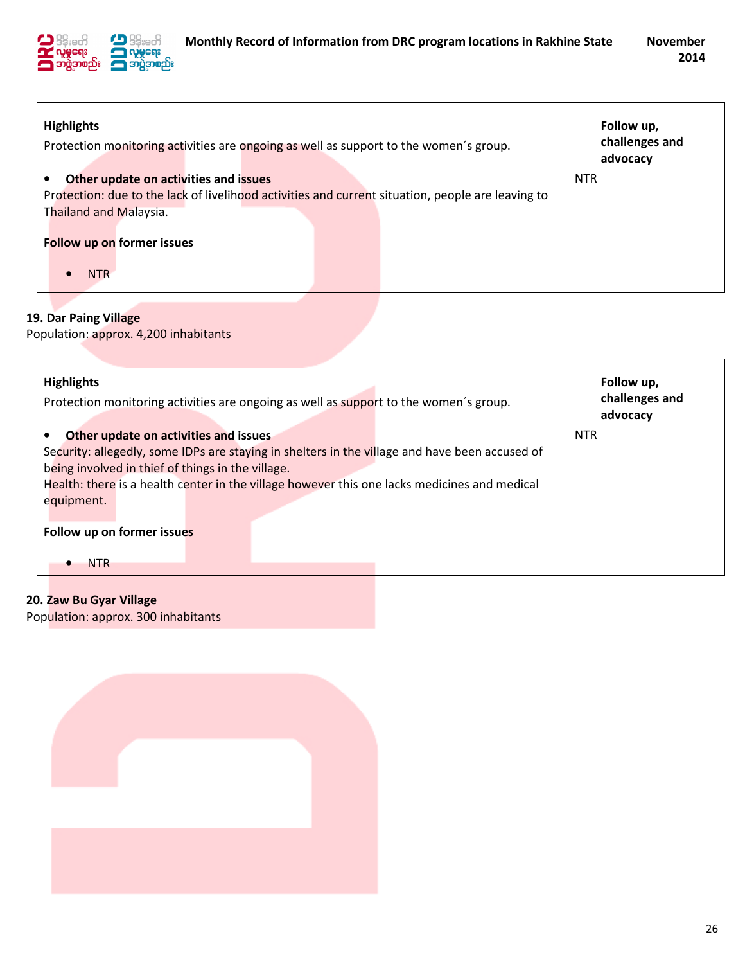

| <b>Highlights</b><br>Protection monitoring activities are ongoing as well as support to the women's group. | Follow up,<br>challenges and |
|------------------------------------------------------------------------------------------------------------|------------------------------|
|                                                                                                            | advocacy                     |
| Other update on activities and issues                                                                      | <b>NTR</b>                   |
| Protection: due to the lack of livelihood activities and current situation, people are leaving to          |                              |
| <b>Thailand and Malaysia.</b>                                                                              |                              |
| Follow up on former issues                                                                                 |                              |
| NTR                                                                                                        |                              |

## 19. Dar Paing Village

Population: approx. 4,200 inhabitants

| <b>Highlights</b><br>Protection monitoring activities are ongoing as well as support to the women's group. | Follow up,<br>challenges and<br>advocacy |
|------------------------------------------------------------------------------------------------------------|------------------------------------------|
| Other update on activities and issues                                                                      | <b>NTR</b>                               |
| Security: allegedly, some IDPs are staying in shelters in the village and have been accused of             |                                          |
| being involved in thief of things in the village.                                                          |                                          |
| Health: there is a health center in the village however this one lacks medicines and medical               |                                          |
| equipment.                                                                                                 |                                          |
|                                                                                                            |                                          |
| Follow up on former issues                                                                                 |                                          |
| <b>NTR</b>                                                                                                 |                                          |

20. Zaw Bu Gyar Village Population: approx. 300 inhabitants